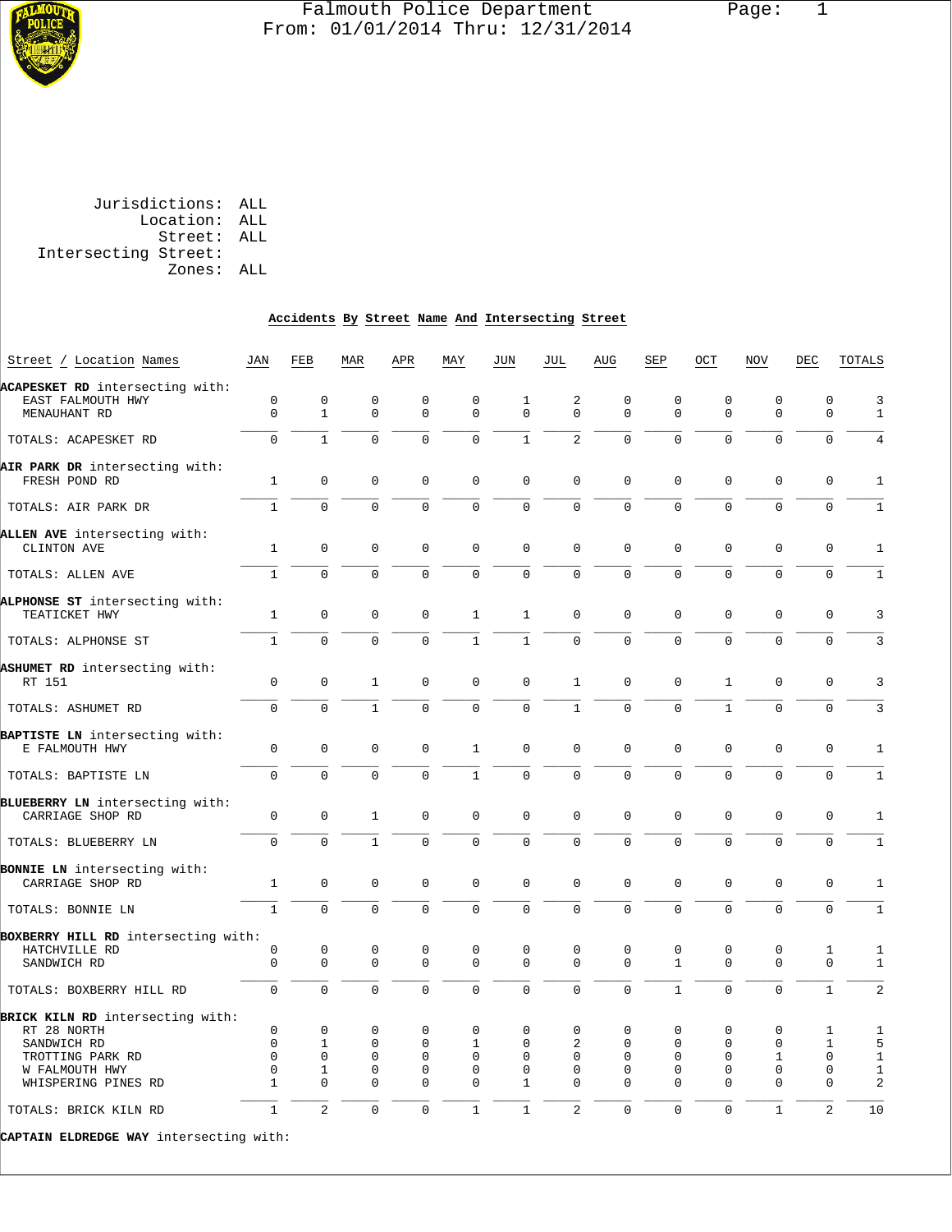

# Falmouth Police Department Page: 1 From: 01/01/2014 Thru: 12/31/2014

 Jurisdictions: ALL Location: ALL Street: ALL Intersecting Street: Zones: ALL

# **Accidents By Street Name And Intersecting Street**

| Street / Location Names                              | JAN          | FEB            | MAR          | APR          | MAY            | JUN                 | JUL                     | AUG            | SEP          | OCT          | <b>NOV</b>   | DEC            | TOTALS         |
|------------------------------------------------------|--------------|----------------|--------------|--------------|----------------|---------------------|-------------------------|----------------|--------------|--------------|--------------|----------------|----------------|
|                                                      |              |                |              |              |                |                     |                         |                |              |              |              |                |                |
| ACAPESKET RD intersecting with:<br>EAST FALMOUTH HWY | $\mathbf 0$  | $\mathbf 0$    | 0            | $\mathbf 0$  | 0              | 1                   | $\overline{\mathbf{c}}$ | 0              | 0            | 0            | $\mathbf 0$  | $\mathbf 0$    | 3              |
| MENAUHANT RD                                         | $\mathbf 0$  | $\mathbf{1}$   | $\mathbf 0$  | $\mathbf 0$  | $\mathbf 0$    | $\mathbf 0$         | $\Omega$                | 0              | $\mathbf 0$  | $\mathsf{O}$ | $\mathbf 0$  | $\mathbf 0$    | $\mathbf{1}$   |
|                                                      |              |                |              |              |                |                     |                         |                |              |              |              |                |                |
| TOTALS: ACAPESKET RD                                 | $\Omega$     | $\mathbf{1}$   | $\Omega$     | $\Omega$     | $\Omega$       | $\mathbf{1}$        | $\overline{a}$          | $\Omega$       | $\Omega$     | $\Omega$     | $\Omega$     | $\Omega$       | $\overline{4}$ |
|                                                      |              |                |              |              |                |                     |                         |                |              |              |              |                |                |
| AIR PARK DR intersecting with:<br>FRESH POND RD      | $\mathbf{1}$ | 0              | $\mathbf 0$  | $\mathbf{0}$ | $\mathbf 0$    | $\mathbf 0$         | $\mathbf 0$             | 0              | $\mathbf 0$  | $\mathbf 0$  | $\mathbf 0$  | $\mathbf 0$    | $\mathbf{1}$   |
| TOTALS: AIR PARK DR                                  | $\mathbf{1}$ | $\mathbf 0$    | $\mathbf 0$  | $\mathbf 0$  | 0              | $\mathbf 0$         | $\mathbf 0$             | 0              | $\mathbf 0$  | $\mathbf 0$  | $\mathbf 0$  | $\mathbf 0$    | $1\,$          |
|                                                      |              |                |              |              |                |                     |                         |                |              |              |              |                |                |
| ALLEN AVE intersecting with:                         |              |                |              |              |                |                     |                         |                |              |              |              |                |                |
| CLINTON AVE                                          | $\mathbf{1}$ | $\mathbf 0$    | $\mathbf 0$  | $\mathbf 0$  | $\mathbf 0$    | $\mathbf 0$         | $\mathbf 0$             | $\mathbf 0$    | $\mathbf 0$  | $\mathbf 0$  | $\mathbf 0$  | $\mathbf 0$    | $1\,$          |
| TOTALS: ALLEN AVE                                    | $\mathbf{1}$ | $\Omega$       | $\Omega$     | $\Omega$     | $\Omega$       | $\mathsf{O}\xspace$ | $\Omega$                | $\Omega$       | $\Omega$     | $\Omega$     | $\Omega$     | $\Omega$       | $\mathbf 1$    |
| ALPHONSE ST intersecting with:                       |              |                |              |              |                |                     |                         |                |              |              |              |                |                |
| TEATICKET HWY                                        | 1            | $\mathbf 0$    | $\Omega$     | $\Omega$     | 1              | $\mathbf{1}$        | $\mathbf{0}$            | $\mathbf 0$    | $\mathbf 0$  | $\mathbf 0$  | $\Omega$     | $\Omega$       | $\overline{3}$ |
| TOTALS: ALPHONSE ST                                  | $\mathbf{1}$ | $\mathbf{0}$   | $\mathbf 0$  | $\mathbf 0$  | $\mathbf{1}$   | $\mathbf{1}$        | $\mathbf 0$             | 0              | $\Omega$     | $\Omega$     | $\mathbf 0$  | $\Omega$       | 3              |
|                                                      |              |                |              |              |                |                     |                         |                |              |              |              |                |                |
| ASHUMET RD intersecting with:                        |              |                |              |              |                |                     |                         |                |              |              |              |                |                |
| RT 151                                               | $\mathbf{0}$ | $\mathbf 0$    | $\mathbf{1}$ | $\mathbf 0$  | $\mathbf{0}$   | $\mathbf 0$         | $\mathbf{1}$            | $\mathbf 0$    | $\mathbf 0$  | $\mathbf{1}$ | $\mathbf 0$  | $\mathbf 0$    | 3              |
| TOTALS: ASHUMET RD                                   | 0            | 0              | $\mathbf{1}$ | 0            | 0              | $\mathbf 0$         | $\mathbf{1}$            | 0              | $\mathbf 0$  | $\mathbf{1}$ | $\mathbf 0$  | $\mathbf 0$    | 3              |
|                                                      |              |                |              |              |                |                     |                         |                |              |              |              |                |                |
| BAPTISTE LN intersecting with:                       |              |                |              |              |                |                     |                         |                |              |              |              |                |                |
| E FALMOUTH HWY                                       | $\mathbf 0$  | $\mathbf 0$    | $\mathbf 0$  | $\mathbf 0$  | $\mathbf{1}$   | $\mathbf 0$         | $\mathbf 0$             | $\mathbf 0$    | $\mathbf 0$  | 0            | $\mathbf 0$  | $\mathbf 0$    | $1\,$          |
| TOTALS: BAPTISTE LN                                  | $\Omega$     | $\Omega$       | $\Omega$     | $\Omega$     | $\mathbf{1}$   | $\Omega$            | $\Omega$                | $\Omega$       | $\Omega$     | $\Omega$     | $\Omega$     | $\Omega$       | $\mathbf{1}$   |
|                                                      |              |                |              |              |                |                     |                         |                |              |              |              |                |                |
| BLUEBERRY LN intersecting with:                      |              |                |              |              |                |                     |                         |                |              |              |              |                |                |
| CARRIAGE SHOP RD                                     | $\mathbf 0$  | $\Omega$       | 1            | $\Omega$     | $\mathbf 0$    | $\mathbf 0$         | $\mathbf 0$             | $\Omega$       | $\Omega$     | $\Omega$     | $\Omega$     | $\mathbf 0$    | 1              |
| TOTALS: BLUEBERRY LN                                 | $\Omega$     | $\Omega$       | $\mathbf{1}$ | $\Omega$     | $\overline{0}$ | $\mathbf 0$         | $\mathbf 0$             | $\overline{0}$ | $\mathbf 0$  | $\Omega$     | $\Omega$     | $\Omega$       | $\mathbf 1$    |
|                                                      |              |                |              |              |                |                     |                         |                |              |              |              |                |                |
| BONNIE LN intersecting with:                         |              |                |              |              |                |                     |                         |                |              |              |              |                |                |
| CARRIAGE SHOP RD                                     | $\mathbf{1}$ | $\mathbf 0$    | $\mathbf 0$  | $\mathbf 0$  | $\mathbf 0$    | $\mathbf 0$         | $\mathbf{0}$            | $\mathbf 0$    | $\mathbf 0$  | $\mathbf 0$  | $\mathbf 0$  | $\mathbf 0$    | $\mathbf{1}$   |
| TOTALS: BONNIE LN                                    | $\mathbf{1}$ | $\mathbf{0}$   | $\mathbf 0$  | $\mathbf 0$  | $\mathbf 0$    | $\mathbf 0$         | $\mathbf 0$             | $\overline{0}$ | $\mathbf 0$  | $\mathbf 0$  | $\mathbf 0$  | $\mathbf 0$    | $1\,$          |
| BOXBERRY HILL RD intersecting with:                  |              |                |              |              |                |                     |                         |                |              |              |              |                |                |
| HATCHVILLE RD                                        | 0            | $\mathbf 0$    | $\mathbf 0$  | $\mathbf{0}$ | 0              | $\mathbf 0$         | $\mathbf 0$             | 0              | 0            | $\mathbf{0}$ | $\mathbf 0$  | 1              | 1              |
| SANDWICH RD                                          | $\mathbf 0$  | $\Omega$       | $\Omega$     | $\Omega$     | $\mathbf 0$    | $\mathbf 0$         | $\Omega$                | $\Omega$       | $\mathbf{1}$ | $\Omega$     | $\Omega$     | $\mathbf 0$    | $\mathbf{1}$   |
|                                                      |              |                |              |              |                |                     |                         |                |              |              |              |                |                |
| TOTALS: BOXBERRY HILL RD                             | $\mathbf 0$  | $\Omega$       | $\Omega$     | $\Omega$     | $\Omega$       | $\mathbf 0$         | $\overline{0}$          | $\Omega$       | $\mathbf{1}$ | $\Omega$     | $\Omega$     | $\mathbf{1}$   | $\overline{2}$ |
| BRICK KILN RD intersecting with:                     |              |                |              |              |                |                     |                         |                |              |              |              |                |                |
| RT 28 NORTH                                          | $\mathbf 0$  | $\mathbf 0$    | $\mathbf 0$  | $\mathbf{0}$ | $\mathbf 0$    | $\mathbf 0$         | 0                       | 0              | 0            | 0            | 0            | 1              | 1              |
| SANDWICH RD                                          | $\mathbf 0$  | 1              | $\mathbf 0$  | $\mathbf{0}$ | 1              | $\Omega$            | 2                       | 0              | 0            | 0            | $\mathbf 0$  | $\mathbf{1}$   | 5              |
| TROTTING PARK RD                                     | $\mathbf 0$  | $\mathbf 0$    | $\mathbf 0$  | $\mathbf{0}$ | $\mathbf 0$    | 0                   | $\mathbf 0$             | 0              | $\mathbf 0$  | $\mathbf 0$  | $\mathbf{1}$ | $\mathbf 0$    | $\mathbf{1}$   |
| W FALMOUTH HWY                                       | $\mathbf 0$  | 1              | 0            | $\Omega$     | $\Omega$       | 0                   | $\Omega$                | 0              | 0            | 0            | 0            | 0              | $\mathbf{1}$   |
| WHISPERING PINES RD                                  | $\mathbf{1}$ | 0              | $\mathbf 0$  | $\mathbf 0$  | 0              | $\mathbf{1}$        | $\overline{0}$          | $\Omega$       | $\mathbf 0$  | $\mathbf 0$  | $\mathbf 0$  | $\mathbf 0$    | 2              |
|                                                      |              |                |              |              |                |                     |                         |                |              |              |              |                |                |
| TOTALS: BRICK KILN RD                                | $\mathbf{1}$ | $\overline{a}$ | $\mathbf 0$  | $\mathbf 0$  | 1              | $\mathbf{1}$        | $\overline{a}$          | 0              | $\mathbf 0$  | $\mathbf 0$  | 1            | $\overline{c}$ | 10             |
|                                                      |              |                |              |              |                |                     |                         |                |              |              |              |                |                |

**CAPTAIN ELDREDGE WAY** intersecting with: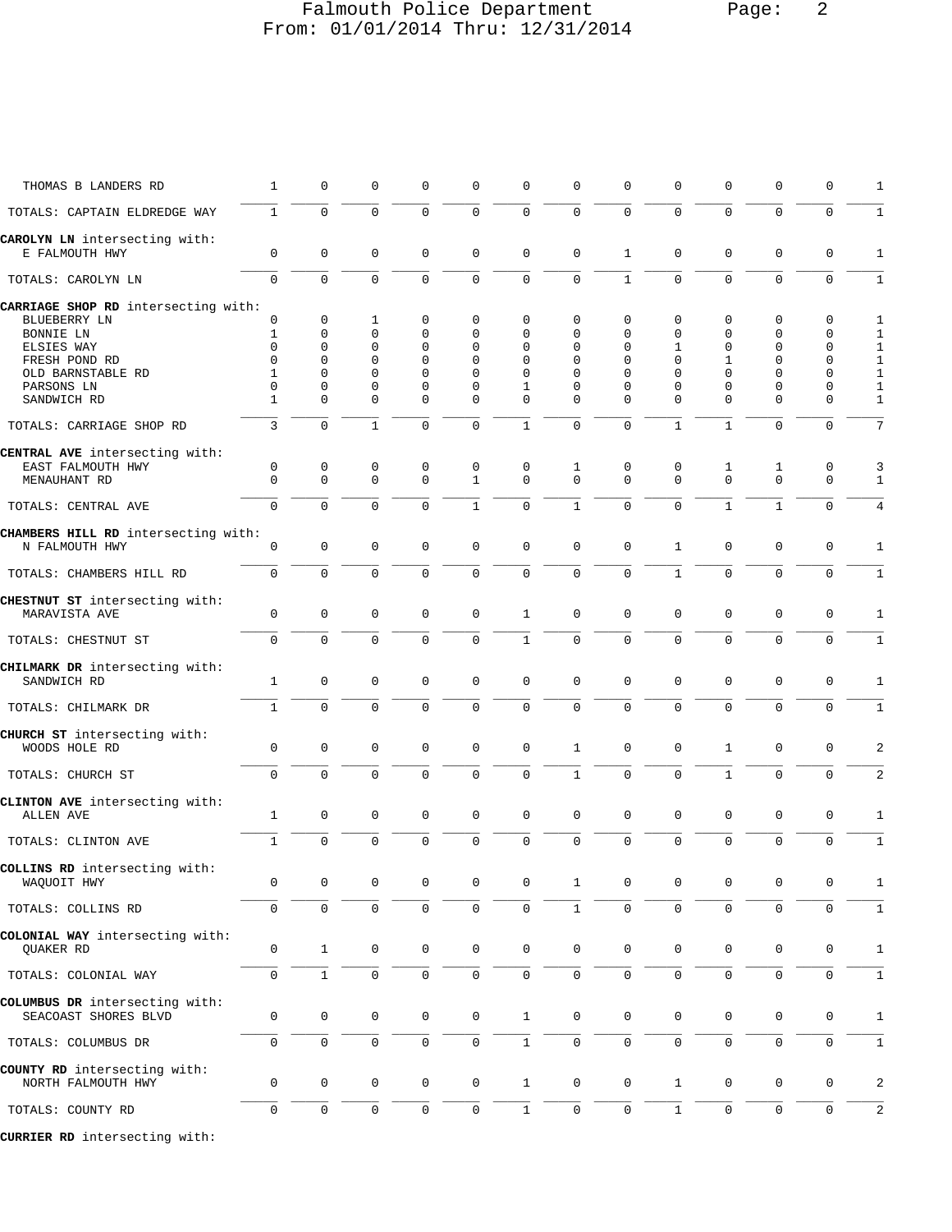# Falmouth Police Department Page: 2 From: 01/01/2014 Thru: 12/31/2014

| THOMAS B LANDERS RD                                    | $\mathbf{1}$             | 0                    | 0             | $\Omega$             | 0             | $\mathbf 0$         | $\mathbf 0$          | $\Omega$             | $\Omega$      | $\mathbf 0$          | $\mathbf{0}$            | $\Omega$            | 1                            |
|--------------------------------------------------------|--------------------------|----------------------|---------------|----------------------|---------------|---------------------|----------------------|----------------------|---------------|----------------------|-------------------------|---------------------|------------------------------|
| TOTALS: CAPTAIN ELDREDGE WAY                           | $\mathbf{1}$             | 0                    | 0             | $\Omega$             | $\Omega$      | $\mathbf 0$         | $\mathbf 0$          | $\mathbf 0$          | $\Omega$      | $\Omega$             | $\Omega$                | $\mathbf 0$         | $1\,$                        |
| CAROLYN LN intersecting with:<br>E FALMOUTH HWY        | $\mathbf 0$              | 0                    | $\mathbf 0$   | $\mathbf 0$          | 0             | $\mathbf 0$         | $\mathbf 0$          | $\mathbf{1}$         | 0             | $\mathbf 0$          | $\mathbf 0$             | $\mathbf 0$         | 1                            |
| TOTALS: CAROLYN LN                                     | $\Omega$                 | $\Omega$             | $\Omega$      | $\Omega$             | $\Omega$      | $\mathbf 0$         | $\Omega$             | $\mathbf{1}$         | $\Omega$      | $\Omega$             | $\Omega$                | $\Omega$            | $\mathbf{1}$                 |
| CARRIAGE SHOP RD intersecting with:                    |                          |                      |               |                      |               |                     |                      |                      |               |                      |                         |                     |                              |
| BLUEBERRY LN                                           | 0                        | 0                    | 1             | $\mathbf 0$          | 0             | 0                   | $\Omega$             | $\mathbf 0$          | 0             | 0                    | $\Omega$                | $\Omega$            | 1                            |
| BONNIE LN                                              | 1                        | $\mathbf 0$          | 0             | 0                    | $\Omega$      | $\Omega$            | $\Omega$             | $\Omega$             | $\mathbf 0$   | 0                    | $\Omega$                | $\mathbf 0$         | 1                            |
| ELSIES WAY                                             | 0                        | $\mathbf 0$          | $\mathbf 0$   | $\mathbf 0$          | 0             | 0                   | 0                    | $\mathbf 0$          | 1             | $\mathbf 0$          | $\Omega$                | $\mathbf 0$         | $\mathbf{1}$                 |
| FRESH POND RD                                          | $\Omega$                 | $\Omega$             | $\Omega$      | $\Omega$             | $\Omega$      | $\Omega$            | $\Omega$             | $\Omega$             | $\Omega$      | $\mathbf{1}$         | $\Omega$                | $\Omega$            | $\mathbf{1}$                 |
| OLD BARNSTABLE RD                                      | 1                        | $\Omega$             | $\Omega$      | $\Omega$             | $\Omega$      | $\Omega$            | $\Omega$             | $\Omega$             | $\Omega$      | $\Omega$             | $\Omega$                | $\Omega$            | $\mathbf{1}$                 |
| PARSONS LN<br>SANDWICH RD                              | $\Omega$<br>$\mathbf{1}$ | $\Omega$<br>$\Omega$ | 0<br>$\Omega$ | $\Omega$<br>$\Omega$ | 0<br>$\Omega$ | 1<br>$\Omega$       | $\Omega$<br>$\Omega$ | $\Omega$<br>$\Omega$ | 0<br>$\Omega$ | $\Omega$<br>$\Omega$ | $\mathbf 0$<br>$\Omega$ | 0<br>$\Omega$       | $\mathbf{1}$<br>$\mathbf{1}$ |
| TOTALS: CARRIAGE SHOP RD                               | 3                        | $\mathbf 0$          | $\mathbf{1}$  | $\mathbf 0$          | 0             | $\mathbf{1}$        | $\mathbf 0$          | $\Omega$             | $\mathbf{1}$  | $\mathbf{1}$         | $\mathbf 0$             | $\mathbf 0$         | $\overline{7}$               |
| CENTRAL AVE intersecting with:                         |                          |                      |               |                      |               |                     |                      |                      |               |                      |                         |                     |                              |
| EAST FALMOUTH HWY                                      | 0                        | $\mathsf 0$          | 0             | 0                    | 0             | 0                   | 1                    | 0                    | 0             | 1                    | 1                       | 0                   | 3                            |
| MENAUHANT RD                                           | $\Omega$                 | $\mathbf 0$          | $\Omega$      | $\Omega$             | $\mathbf{1}$  | $\Omega$            | $\Omega$             | $\Omega$             | $\Omega$      | $\Omega$             | $\mathbf 0$             | $\mathbf 0$         | $\mathbf{1}$                 |
| TOTALS: CENTRAL AVE                                    | $\Omega$                 | $\Omega$             | $\Omega$      | $\Omega$             | $\mathbf{1}$  | $\Omega$            | $\mathbf{1}$         | $\Omega$             | $\Omega$      | $\mathbf{1}$         | $\mathbf{1}$            | $\Omega$            | $\overline{4}$               |
| CHAMBERS HILL RD intersecting with:                    |                          |                      |               |                      |               |                     |                      |                      |               |                      |                         |                     |                              |
| N FALMOUTH HWY                                         | 0                        | $\mathbf 0$          | $\mathsf 0$   | $\mathbf 0$          | 0             | $\mathbf 0$         | $\mathbf 0$          | $\mathbf 0$          | 1             | $\mathbf 0$          | $\mathbf{0}$            | $\mathbf 0$         | 1                            |
| TOTALS: CHAMBERS HILL RD                               | 0                        | 0                    | 0             | 0                    | 0             | $\mathbf 0$         | $\mathbf 0$          | $\mathbf 0$          | $\mathbf{1}$  | $\mathbf 0$          | $\mathbf 0$             | $\mathbf 0$         | $\mathbf{1}$                 |
| CHESTNUT ST intersecting with:                         |                          |                      |               |                      |               |                     |                      |                      |               |                      |                         |                     |                              |
| MARAVISTA AVE                                          | 0                        | 0                    | 0             | $\mathbf 0$          | 0             | $\mathbf{1}$        | $\mathbf 0$          | $\mathbf 0$          | $\mathbf 0$   | $\mathbf 0$          | $\Omega$                | $\mathbf 0$         | 1                            |
| TOTALS: CHESTNUT ST                                    | $\mathbf 0$              | $\mathbf 0$          | 0             | $\mathbf 0$          | 0             | $\mathbf{1}$        | $\mathbf 0$          | $\mathbf 0$          | $\mathbf 0$   | $\mathbf 0$          | $\Omega$                | $\mathbf 0$         | $\mathbf{1}$                 |
| CHILMARK DR intersecting with:                         |                          |                      |               |                      |               |                     |                      |                      |               |                      |                         |                     |                              |
| SANDWICH RD                                            | 1                        | $\mathbf 0$          | 0             | $\mathbf 0$          | 0             | $\mathbf 0$         | $\mathbf 0$          | 0                    | 0             | $\mathbf 0$          | 0                       | $\mathbf 0$         | 1                            |
| TOTALS: CHILMARK DR                                    | $\mathbf{1}$             | $\Omega$             | $\Omega$      | $\Omega$             | $\Omega$      | $\mathbf 0$         | $\Omega$             | $\Omega$             | $\Omega$      | $\Omega$             | $\Omega$                | $\Omega$            | $\mathbf{1}$                 |
| CHURCH ST intersecting with:                           |                          |                      |               |                      |               |                     |                      |                      |               |                      |                         |                     |                              |
| WOODS HOLE RD                                          | $\mathbf 0$              | 0                    | $\mathbf 0$   | $\mathbf 0$          | 0             | $\mathbf 0$         | $\mathbf{1}$         | $\mathbf 0$          | 0             | $\mathbf{1}$         | $\mathbf 0$             | $\mathbf 0$         | 2                            |
| TOTALS: CHURCH ST                                      | 0                        | $\mathbf 0$          | $\mathbf 0$   | $\Omega$             | $\Omega$      | $\mathbf 0$         | $\mathbf{1}$         | $\mathbf 0$          | $\mathbf 0$   | $\mathbf{1}$         | $\Omega$                | $\mathbf 0$         | 2                            |
|                                                        |                          |                      |               |                      |               |                     |                      |                      |               |                      |                         |                     |                              |
| CLINTON AVE intersecting with:                         |                          |                      |               |                      |               |                     |                      |                      |               |                      |                         |                     |                              |
| ALLEN AVE                                              | 1                        | 0                    | 0             | $\mathbf 0$          | 0             | $\mathbf 0$         | $\mathbf 0$          | $\mathbf 0$          | 0             | $\mathbf 0$          | $\mathbf 0$             | $\mathbf 0$         | 1                            |
| TOTALS: CLINTON AVE                                    | $\mathbf{1}$             | $\mathbf 0$          | $\Omega$      | $\Omega$             | $\Omega$      | $\mathbf 0$         | $\overline{0}$       | $\Omega$             | 0             | $\mathbf 0$          | $\mathbf 0$             | $\Omega$            | $\mathbf{1}$                 |
| COLLINS RD intersecting with:                          |                          |                      |               |                      |               |                     |                      |                      |               |                      |                         |                     |                              |
| WAQUOIT HWY                                            | 0                        | 0                    | 0             | 0                    | 0             | 0                   | $\mathbf{1}$         | 0                    | 0             | 0                    | 0                       | 0                   | 1                            |
| TOTALS: COLLINS RD                                     | 0                        | 0                    | 0             | 0                    | 0             | 0                   | $\mathbf{1}$         | 0                    | 0             | 0                    | 0                       | 0                   | 1                            |
|                                                        |                          |                      |               |                      |               |                     |                      |                      |               |                      |                         |                     |                              |
| COLONIAL WAY intersecting with:<br>QUAKER RD           | 0                        | $1\,$                | $\mathsf 0$   | 0                    | $\mathsf{0}$  | $\mathsf{O}\xspace$ | $\mathbf 0$          | $\mathbf 0$          | 0             | 0                    | $\mathsf 0$             | $\mathbf 0$         | $1\,$                        |
| TOTALS: COLONIAL WAY                                   | 0                        | $\mathbf{1}$         | $\mathbf 0$   | $\mathsf{O}$         | $\mathsf 0$   | $\mathsf{O}\xspace$ | $\mathsf 0$          | $\mathsf{O}$         | 0             | $\mathsf{O}\xspace$  | $\mathsf 0$             | $\mathsf{O}\xspace$ | $1\,$                        |
|                                                        |                          |                      |               |                      |               |                     |                      |                      |               |                      |                         |                     |                              |
| COLUMBUS DR intersecting with:<br>SEACOAST SHORES BLVD | 0                        | $\mathbf 0$          | 0             | $\mathsf{O}$         | 0             | $\mathbf{1}$        | $\mathbf 0$          | $\mathbf 0$          | 0             | 0                    | 0                       | 0                   | 1                            |
| TOTALS: COLUMBUS DR                                    | 0                        | $\mathsf{O}\xspace$  | 0             | $\mathbf 0$          | 0             | $\mathbf{1}$        | $\mathsf 0$          | $\mathsf{O}$         | 0             | $\mathbf 0$          | $\mathsf 0$             | $\mathbf 0$         | $\mathbf{1}$                 |
| COUNTY RD intersecting with:                           |                          |                      |               |                      |               |                     |                      |                      |               |                      |                         |                     |                              |
| NORTH FALMOUTH HWY                                     | 0                        | 0                    | 0             | 0                    | 0             | $\mathbf{1}$        | 0                    | 0                    | $\mathbf{1}$  | 0                    | 0                       | 0                   | 2                            |
| TOTALS: COUNTY RD                                      | 0                        | $\mathbf 0$          | $\mathsf 0$   | $\mathbf 0$          | 0             | $\mathbf{1}$        | $\mathbf 0$          | 0                    | $\mathbf{1}$  | 0                    | $\mathsf 0$             | $\mathbf 0$         | 2                            |
| CURRIER RD intersecting with:                          |                          |                      |               |                      |               |                     |                      |                      |               |                      |                         |                     |                              |
|                                                        |                          |                      |               |                      |               |                     |                      |                      |               |                      |                         |                     |                              |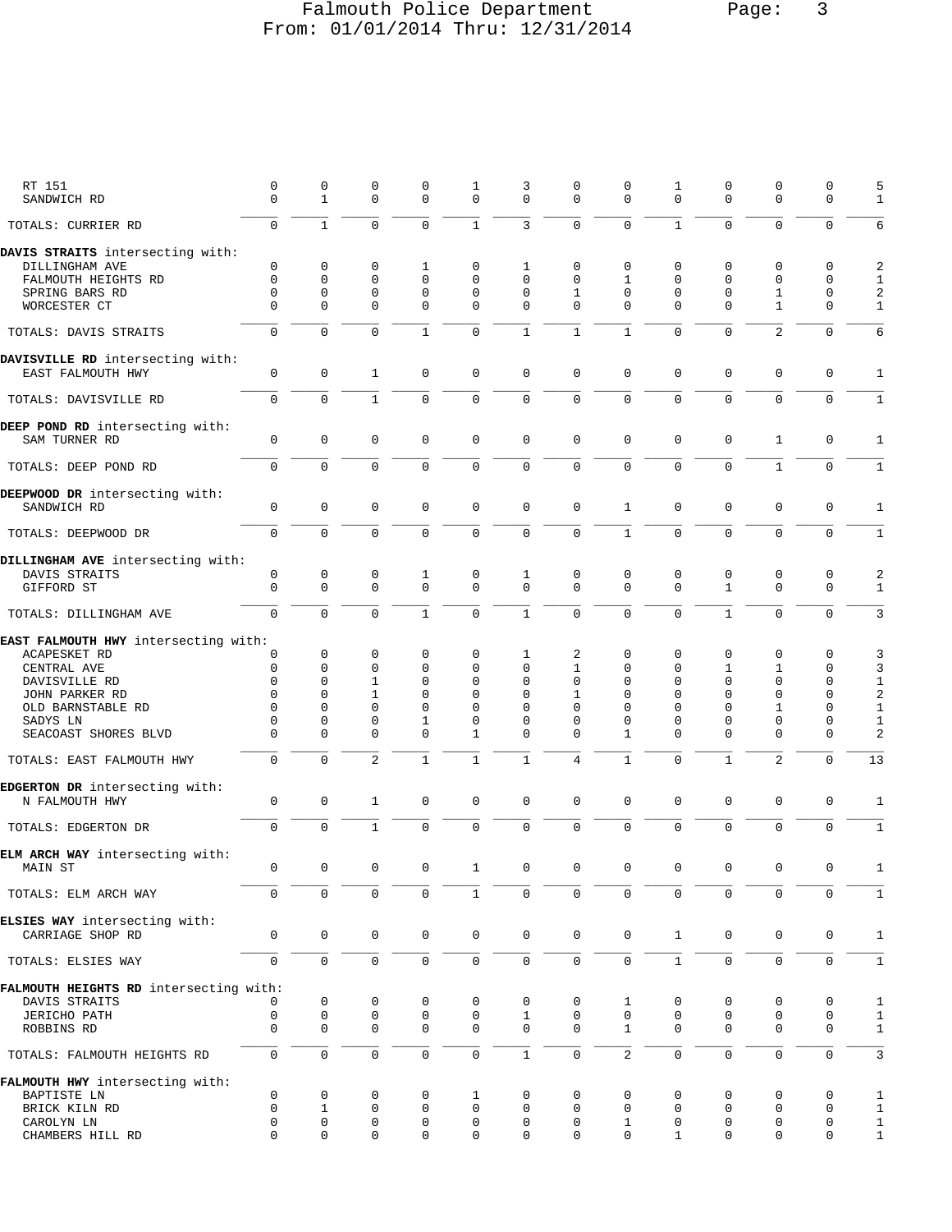# Falmouth Police Department Page: 3 From: 01/01/2014 Thru: 12/31/2014

|      | ٠ |
|------|---|
| aqe: |   |

| RT 151<br>SANDWICH RD                                 | 0<br>$\Omega$  | 0<br>$\mathbf{1}$ | 0<br>$\Omega$  | 0<br>$\Omega$  | 1<br>0         | 3<br>$\mathbf 0$ | 0<br>$\Omega$       | 0<br>$\Omega$  | 1<br>$\Omega$  | 0<br>$\Omega$  | 0<br>$\Omega$  | $\mathbf 0$<br>$\Omega$ | 5<br>$\mathbf{1}$ |
|-------------------------------------------------------|----------------|-------------------|----------------|----------------|----------------|------------------|---------------------|----------------|----------------|----------------|----------------|-------------------------|-------------------|
| TOTALS: CURRIER RD                                    | $\mathbf 0$    | $\mathbf{1}$      | 0              | 0              | $\mathbf{1}$   | 3                | $\mathbf 0$         | $\mathbf 0$    | $\mathbf{1}$   | 0              | 0              | $\mathbf 0$             | 6                 |
| DAVIS STRAITS intersecting with:                      |                |                   |                |                |                |                  |                     |                |                |                |                |                         |                   |
| DILLINGHAM AVE                                        | 0              | 0                 | 0              | 1              | 0              | 1                | 0                   | 0              | 0              | 0              | 0              | 0                       | 2                 |
| FALMOUTH HEIGHTS RD                                   | $\Omega$       | $\Omega$          | 0              | $\Omega$       | 0              | $\Omega$         | $\Omega$            | 1              | 0              | $\Omega$       | $\Omega$       | 0                       | $\mathbf{1}$      |
| SPRING BARS RD                                        | $\Omega$       | 0                 | 0              | $\mathbf 0$    | 0              | 0                | $\mathbf{1}$        | $\mathbf 0$    | $\mathbf 0$    | $\mathbf 0$    | 1              | $\mathbf 0$             | 2                 |
| WORCESTER CT                                          | $\Omega$       | $\Omega$          | $\Omega$       | $\mathbf 0$    | 0              | $\mathbf 0$      | $\mathbf 0$         | $\Omega$       | $\Omega$       | $\Omega$       | $\mathbf{1}$   | $\Omega$                | $\mathbf{1}$      |
| TOTALS: DAVIS STRAITS                                 | $\Omega$       | $\Omega$          | $\Omega$       | $\mathbf{1}$   | 0              | $\mathbf{1}$     | $\mathbf{1}$        | $\mathbf{1}$   | $\Omega$       | $\Omega$       | $\overline{a}$ | $\Omega$                | 6                 |
| DAVISVILLE RD intersecting with:<br>EAST FALMOUTH HWY | $\mathsf 0$    | 0                 | $\mathbf{1}$   | $\mathbf 0$    | 0              | 0                | $\mathbf 0$         | $\mathbf 0$    | 0              | 0              | $\mathbf{0}$   | $\mathbf 0$             | 1                 |
| TOTALS: DAVISVILLE RD                                 | $\overline{0}$ | 0                 | $\mathbf{1}$   | $\mathbf 0$    | $\mathbf{0}$   | 0                | $\mathsf 0$         | $\mathsf 0$    | 0              | 0              | 0              | $\mathbf 0$             | $\mathbf{1}$      |
| DEEP POND RD intersecting with:                       |                |                   |                |                |                |                  |                     |                |                |                |                |                         |                   |
| SAM TURNER RD                                         | 0              | 0                 | $\mathsf 0$    | 0              | 0              | $\mathsf 0$      | $\mathbf 0$         | $\mathbf 0$    | 0              | 0              | $\mathbf{1}$   | 0                       | $\mathbf{1}$      |
| TOTALS: DEEP POND RD                                  | $\mathsf{O}$   | 0                 | 0              | 0              | 0              | $\mathbf 0$      | $\mathbf{0}$        | $\mathbf 0$    | 0              | $\mathbf 0$    | $\mathbf{1}$   | $\Omega$                | $\mathbf{1}$      |
| DEEPWOOD DR intersecting with:                        |                |                   |                |                |                |                  |                     |                |                |                |                |                         |                   |
| SANDWICH RD                                           | $\overline{0}$ | $\mathsf 0$       | $\mathbf 0$    | $\mathbf 0$    | 0              | $\mathsf 0$      | $\mathsf 0$         | $\mathbf{1}$   | $\mathbf 0$    | 0              | $\mathbf 0$    | $\mathbf 0$             | 1                 |
| TOTALS: DEEPWOOD DR                                   | 0              | 0                 | 0              | $\mathbf 0$    | 0              | $\mathbf 0$      | $\mathbf 0$         | $\mathbf{1}$   | 0              | 0              | 0              | $\mathbf 0$             | $\mathbf{1}$      |
| DILLINGHAM AVE intersecting with:                     |                |                   |                |                |                |                  |                     |                |                |                |                |                         |                   |
| DAVIS STRAITS                                         | 0              | 0                 | 0              | 1              | 0              | 1                | $\mathbf 0$         | 0              | 0              | 0              | 0              | 0                       | 2                 |
| GIFFORD ST                                            | $\mathbf 0$    | 0                 | $\Omega$       | $\Omega$       | 0              | $\mathbf 0$      | $\mathbf{0}$        | $\Omega$       | $\Omega$       | $\mathbf{1}$   | $\Omega$       | $\Omega$                | $\mathbf{1}$      |
| TOTALS: DILLINGHAM AVE                                | $\Omega$       | $\overline{0}$    | $\Omega$       | $\mathbf{1}$   | $\overline{0}$ | $\mathbf{1}$     | $\mathbf 0$         | $\mathbf 0$    | $\Omega$       | $\mathbf{1}$   | $\Omega$       | $\Omega$                | $\mathbf{3}$      |
| EAST FALMOUTH HWY intersecting with:                  |                |                   |                |                |                |                  |                     |                |                |                |                |                         |                   |
| ACAPESKET RD                                          | 0              | 0                 | 0              | 0              | 0              | 1                | 2                   | 0              | 0              | 0              | 0              | 0                       | 3                 |
| CENTRAL AVE                                           | 0              | 0                 | 0              | 0              | 0              | 0                | $\mathbf{1}$        | $\mathbf 0$    | 0              | 1              | 1              | 0                       | 3                 |
| DAVISVILLE RD                                         | $\Omega$       | $\Omega$          | 1              | 0              | $\Omega$       | $\Omega$         | 0                   | $\Omega$       | $\Omega$       | $\Omega$       | $\Omega$       | 0                       | $\mathbf{1}$      |
| JOHN PARKER RD                                        | $\Omega$       | $\Omega$          | $\mathbf{1}$   | $\Omega$       | $\Omega$       | 0                | 1                   | $\Omega$       | $\Omega$       | $\Omega$       | $\Omega$       | 0                       | $\sqrt{2}$        |
| OLD BARNSTABLE RD                                     | $\Omega$       | $\Omega$          | 0              | $\mathbf 0$    | $\Omega$       | 0                | 0                   | $\mathbf 0$    | $\Omega$       | $\Omega$       | 1              | 0                       | $\mathbf{1}$      |
| SADYS LN                                              | 0              | 0                 | 0              | 1              | 0              | 0                | 0                   | $\mathbf 0$    | 0              | $\Omega$       | $\Omega$       | 0                       | $\mathbf{1}$      |
| SEACOAST SHORES BLVD                                  | $\Omega$       | $\Omega$          | $\Omega$       | $\Omega$       | 1              | 0                | $\Omega$            | $\mathbf{1}$   | $\Omega$       | $\Omega$       | $\Omega$       | $\Omega$                | $\overline{a}$    |
| TOTALS: EAST FALMOUTH HWY                             | $\mathbf 0$    | $\Omega$          | $\overline{2}$ | $\mathbf{1}$   | $\mathbf{1}$   | $\mathbf{1}$     | $\overline{4}$      | $\mathbf{1}$   | 0              | $\mathbf{1}$   | $\overline{2}$ | $\Omega$                | 13                |
| EDGERTON DR intersecting with:<br>N FALMOUTH HWY      | $\mathbf 0$    | 0                 | $\mathbf{1}$   | $\mathbf 0$    | 0              | $\mathsf 0$      | $\mathbf 0$         | $\mathbf 0$    | 0              | $\mathbf 0$    | 0              | $\mathbf 0$             | 1                 |
| TOTALS: EDGERTON DR                                   | 0              | $\overline{0}$    | $\mathbf{1}$   | $\mathbf 0$    | 0              | $\mathbf 0$      | $\mathbf{0}$        | $\mathbf 0$    | $\mathbf 0$    | 0              | $\mathbf 0$    | $\mathbf 0$             | $\mathbf{1}$      |
| ELM ARCH WAY intersecting with:                       |                |                   |                |                |                |                  |                     |                |                |                |                |                         |                   |
| MAIN ST                                               | $\mathbf{0}$   | $\overline{0}$    | $\overline{0}$ | $\overline{0}$ | 1              | $\mathbf{0}$     | 0                   | $\overline{0}$ | $\overline{0}$ | $\overline{0}$ | $\overline{0}$ | $\mathbf{0}$            | -1                |
| TOTALS: ELM ARCH WAY                                  | 0              | 0                 | 0              | $\mathbf 0$    | $\mathbf 1$    | $\mathbf 0$      | $\mathbf 0$         | $\mathbf 0$    | $\Omega$       | $\Omega$       | $\Omega$       | $\Omega$                | $\mathbf{1}$      |
| ELSIES WAY intersecting with:                         |                |                   |                |                |                |                  |                     |                |                |                |                |                         |                   |
| CARRIAGE SHOP RD                                      | 0              | $\mathsf{O}$      | 0              | $\mathbf 0$    | 0              | $\mathbf 0$      | $\mathbf 0$         | $\mathbf 0$    | $\mathbf{1}$   | 0              | $\mathsf{O}$   | 0                       | $\mathbf{1}$      |
| TOTALS: ELSIES WAY                                    | $\mathsf{O}$   | $\mathsf{O}$      | $\mathsf 0$    | 0              | 0              | 0                | $\mathsf{O}\xspace$ | $\mathbf 0$    | $\mathbf{1}$   | $\mathbf 0$    | $\mathbf 0$    | $\mathbf 0$             | $\mathbf{1}$      |
| FALMOUTH HEIGHTS RD intersecting with:                |                |                   |                |                |                |                  |                     |                |                |                |                |                         |                   |
| DAVIS STRAITS                                         | 0              | $\mathbf 0$       | $\mathsf 0$    | 0              | 0              | 0                | $\mathbf 0$         | $\mathbf{1}$   | 0              | 0              | 0              | 0                       | $\mathbf{1}$      |
| JERICHO PATH                                          | $\mathbf 0$    | 0                 | $\mathsf 0$    | $\mathsf 0$    | $\mathbf 0$    | $\mathbf{1}$     | $\mathbf{0}$        | $\mathbf 0$    | $\mathbf 0$    | $\mathbf 0$    | $\mathbf 0$    | $\mathbf 0$             | $\mathbf{1}$      |
| ROBBINS RD                                            | 0              | $\mathbf{0}$      | $\mathbf 0$    | 0              | 0              | 0                | $\mathbf 0$         | $\mathbf{1}$   | $\mathbf 0$    | 0              | 0              | 0                       | $\mathbf{1}$      |
| TOTALS: FALMOUTH HEIGHTS RD                           | $\mathbf 0$    | $\mathsf{O}$      | $\mathsf 0$    | $\mathsf{O}$   | 0              | $\mathbf{1}$     | $\mathsf 0$         | 2              | $\mathbf 0$    | $\mathsf{O}$   | $\mathbf 0$    | $\mathbf 0$             | $\mathbf{3}$      |
| FALMOUTH HWY intersecting with:                       |                |                   |                |                |                |                  |                     |                |                |                |                |                         |                   |
| BAPTISTE LN                                           | $\mathbf 0$    | $\mathsf 0$       | 0              | 0              | 1              | 0                | 0                   | 0              | 0              | 0              | 0              | 0                       | $\mathbf{1}$      |
| BRICK KILN RD                                         | $\mathbf 0$    | $\mathbf{1}$      | 0              | $\mathbf 0$    | $\mathsf 0$    | 0                | 0                   | 0              | $\mathbf 0$    | 0              | 0              | $\mathbf 0$             | $\mathbf{1}$      |
| CAROLYN LN                                            | 0              | 0                 | 0              | 0              | 0              | 0                | 0                   | $\mathbf{1}$   | 0              | 0              | 0              | 0                       | $\mathbf{1}$      |
| CHAMBERS HILL RD                                      | $\Omega$       | $\mathbf{0}$      | 0              | 0              | 0              | 0                | $\mathbf 0$         | $\mathbf 0$    | 1              | $\mathbf 0$    | 0              | $\mathbf 0$             | $\mathbf{1}$      |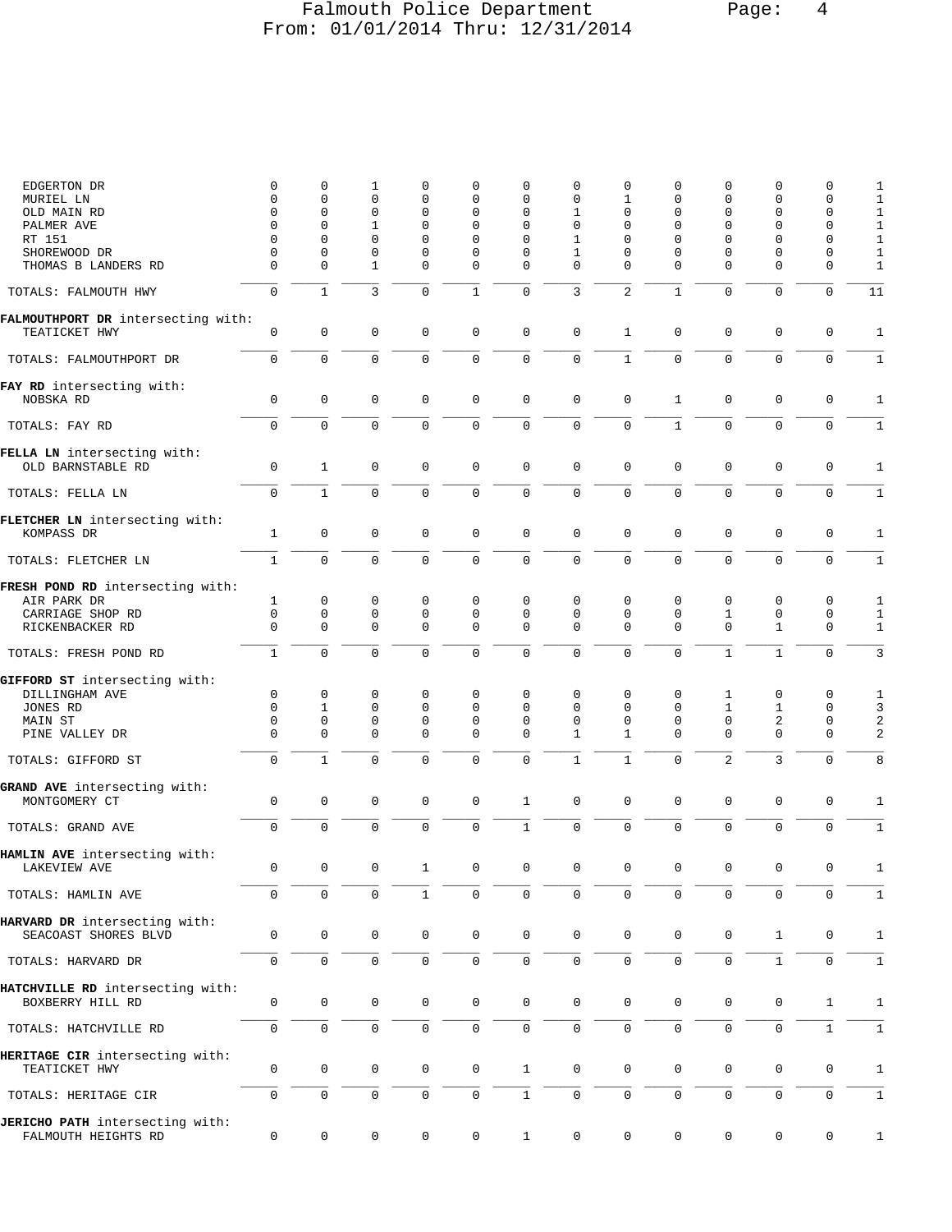### Falmouth Police Department Page: 4 From: 01/01/2014 Thru: 12/31/2014

| EDGERTON DR                                            | $\mathbf 0$          | 0                       | 1                   | 0                          | 0             | 0                    | 0            | 0                | 0              | 0              | 0             | 0                | 1              |
|--------------------------------------------------------|----------------------|-------------------------|---------------------|----------------------------|---------------|----------------------|--------------|------------------|----------------|----------------|---------------|------------------|----------------|
| MURIEL LN                                              | 0                    | $\mathbf 0$             | 0                   | $\mathbf 0$                | 0             | 0                    | 0            | 1                | 0              | 0              | 0             | 0                | $1\,$          |
| OLD MAIN RD                                            | $\Omega$<br>$\Omega$ | $\Omega$<br>$\mathbf 0$ | 0<br>1              | $\mathbf 0$<br>$\mathbf 0$ | $\Omega$<br>0 | $\Omega$<br>$\Omega$ | 1<br>0       | 0<br>0           | $\Omega$<br>0  | $\Omega$       | $\Omega$<br>0 | 0<br>$\mathbf 0$ | 1              |
| PALMER AVE<br>RT 151                                   | $\Omega$             | $\Omega$                | 0                   | $\mathbf 0$                | 0             | 0                    | 1            | 0                | $\Omega$       | 0<br>0         | 0             | 0                | $1\,$<br>$1\,$ |
| SHOREWOOD DR                                           | 0                    | 0                       | 0                   | 0                          | 0             | 0                    | 1            | 0                | 0              | 0              | 0             | 0                | $1\,$          |
| THOMAS B LANDERS RD                                    | $\Omega$             | $\Omega$                | 1                   | $\Omega$                   | 0             | $\mathbf 0$          | $\mathbf 0$  | $\Omega$         | $\Omega$       | $\Omega$       | $\Omega$      | $\mathbf 0$      | $\mathbf{1}$   |
| TOTALS: FALMOUTH HWY                                   | $\mathbf 0$          | $\mathbf{1}$            | 3                   | $\mathbf 0$                | $\mathbf{1}$  | $\mathbf 0$          | 3            | $\overline{a}$   | $\mathbf{1}$   | $\Omega$       | $\Omega$      | $\mathbf 0$      | 11             |
| FALMOUTHPORT DR intersecting with:<br>TEATICKET HWY    | 0                    | 0                       | $\mathsf 0$         | $\mathbf 0$                | 0             | $\mathbf 0$          | $\mathsf 0$  | 1                | 0              | $\mathbf 0$    | $\mathsf 0$   | $\mathbf 0$      | 1              |
| TOTALS: FALMOUTHPORT DR                                | $\mathbf 0$          | $\mathbf 0$             | $\mathsf 0$         | $\mathbf 0$                | 0             | $\mathsf 0$          | $\mathsf 0$  | $\mathbf{1}$     | 0              | $\mathbf 0$    | $\mathbf 0$   | $\mathbf 0$      | $1\,$          |
| FAY RD intersecting with:<br>NOBSKA RD                 | $\mathbf 0$          | $\mathbf 0$             | $\mathbf 0$         | $\mathbf 0$                | 0             | $\mathbf 0$          | $\mathsf 0$  | $\mathsf 0$      | 1              | 0              | $\mathsf 0$   | $\mathbf 0$      | 1              |
| TOTALS: FAY RD                                         | $\mathbf 0$          | $\Omega$                | $\mathbf 0$         | $\mathbf 0$                | 0             | $\mathbf 0$          | $\mathbf 0$  | $\mathbf 0$      | $\mathbf{1}$   | $\Omega$       | $\mathbf 0$   | $\mathbf 0$      | $\mathbf{1}$   |
|                                                        |                      |                         |                     |                            |               |                      |              |                  |                |                |               |                  |                |
| FELLA LN intersecting with:<br>OLD BARNSTABLE RD       | $\mathbf 0$          | $\mathbf{1}$            | $\mathbf 0$         | $\mathbf 0$                | 0             | $\mathbf 0$          | $\mathsf 0$  | $\mathbf 0$      | 0              | $\mathbf 0$    | $\mathsf 0$   | $\mathbf 0$      | 1              |
| TOTALS: FELLA LN                                       | $\mathbf 0$          | $\mathbf{1}$            | $\mathsf 0$         | 0                          | 0             | $\mathsf 0$          | $\mathsf 0$  | 0                | 0              | 0              | $\mathsf 0$   | $\mathbf 0$      | $\mathbf{1}$   |
| FLETCHER LN intersecting with:<br>KOMPASS DR           | $\mathbf{1}$         | $\mathbf 0$             | $\mathbf 0$         | $\mathbf 0$                | $\mathbf 0$   | $\mathsf 0$          | $\mathsf 0$  | $\mathbf 0$      | 0              | $\mathbf 0$    | $\mathbf{0}$  | $\mathbf 0$      | $1\,$          |
| TOTALS: FLETCHER LN                                    | $\mathbf{1}$         | $\mathbf 0$             | $\mathbf 0$         | 0                          | 0             | $\mathsf 0$          | $\mathsf 0$  | $\mathbf 0$      | 0              | $\mathbf 0$    | $\mathbf 0$   | $\mathbf 0$      | $\mathbf 1$    |
| FRESH POND RD intersecting with:                       |                      |                         |                     |                            |               |                      |              |                  |                |                |               |                  |                |
| AIR PARK DR                                            | 1                    | 0                       | 0                   | 0                          | 0             | 0                    | 0            | 0                | 0              | 0              | 0             | 0                | 1              |
| CARRIAGE SHOP RD                                       | 0                    | $\mathbf 0$             | 0                   | 0                          | 0             | 0                    | 0            | $\mathbf 0$      | 0              | 1              | 0             | 0                | $\mathbf{1}$   |
| RICKENBACKER RD                                        | $\mathbf 0$          | $\mathbf 0$             | $\mathbf 0$         | $\mathbf 0$                | $\mathbf{0}$  | $\mathbf 0$          | $\mathbf 0$  | $\mathbf 0$      | $\Omega$       | 0              | $\mathbf{1}$  | $\mathbf 0$      | $\mathbf{1}$   |
| TOTALS: FRESH POND RD                                  | $\mathbf{1}$         | $\mathsf 0$             | $\mathsf 0$         | $\mathbf 0$                | 0             | $\mathbf 0$          | $\mathsf 0$  | 0                | $\overline{0}$ | $\mathbf{1}$   | $\mathbf{1}$  | $\mathbf 0$      | 3              |
| GIFFORD ST intersecting with:                          |                      |                         |                     |                            | 0             | 0                    | 0            |                  |                |                |               | 0                |                |
| DILLINGHAM AVE<br>JONES RD                             | 0<br>$\Omega$        | 0<br>1                  | 0<br>0              | 0<br>$\mathbf 0$           | 0             | 0                    | 0            | 0<br>$\mathbf 0$ | 0<br>0         | 1<br>1         | 0<br>1        | 0                | 1<br>3         |
| MAIN ST                                                | $\mathbf 0$          | $\mathbf 0$             | 0                   | $\mathsf 0$                | $\mathbf{0}$  | 0                    | $\mathbf 0$  | $\mathbf 0$      | 0              | 0              | 2             | $\mathbf 0$      | 2              |
| PINE VALLEY DR                                         | $\mathbf 0$          | $\mathbf 0$             | 0                   | $\mathbf 0$                | $\mathbf 0$   | 0                    | 1            | 1                | $\Omega$       | 0              | $\mathbf 0$   | $\mathbf 0$      | 2              |
| TOTALS: GIFFORD ST                                     | $\mathbf 0$          | $\mathbf{1}$            | $\mathbf 0$         | $\mathbf 0$                | $\mathbf 0$   | $\mathbf 0$          | $\mathbf{1}$ | $\mathbf{1}$     | 0              | $\overline{2}$ | 3             | $\mathbf{0}$     | 8              |
| GRAND AVE intersecting with:<br>MONTGOMERY CT          | $\mathbf 0$          | 0                       | $\mathsf 0$         | 0                          | 0             | $\mathbf{1}$         | 0            | 0                | 0              | 0              | 0             | $\mathbf 0$      | 1              |
| TOTALS: GRAND AVE                                      | $\mathbf 0$          | $\mathbf 0$             | $\mathbf 0$         | $\mathbf 0$                | $\mathbf{0}$  | $\mathbf{1}$         | $\mathsf 0$  | $\mathbf 0$      | 0              | $\mathsf 0$    | $\mathsf 0$   | $\mathbf 0$      | $\,1\,$        |
| HAMLIN AVE intersecting with:<br>LAKEVIEW AVE          | $\Omega$             | $\cap$                  | $\cap$              | $\mathbf{1}$               | $\Omega$      | $\Omega$             | $\Omega$     | $\Omega$         | $\cap$         | $\Omega$       | $\Omega$      | $\Omega$         | $\overline{1}$ |
| TOTALS: HAMLIN AVE                                     | $\Omega$             | $\Omega$                | 0                   | $\mathbf{1}$               | 0             | 0                    | $\Omega$     |                  | U              | 0              | $\Omega$      | <sup>0</sup>     | 1              |
| HARVARD DR intersecting with:<br>SEACOAST SHORES BLVD  | 0                    | $\mathsf{O}\xspace$     | $\mathbf 0$         | $\mathbf 0$                | $\mathbf 0$   | $\mathsf 0$          | $\mathsf 0$  | $\mathbf 0$      | 0              | 0              | $\mathbf{1}$  | $\mathbf 0$      | 1              |
| TOTALS: HARVARD DR                                     | $\mathbf 0$          | $\mathbf 0$             | $\mathsf{O}\xspace$ | 0                          | 0             | $\mathbf 0$          | $\mathbf 0$  | $\mathbf 0$      | 0              | $\mathbf 0$    | $\mathbf 1$   | $\mathbf 0$      | $\mathbf{1}$   |
| HATCHVILLE RD intersecting with:<br>BOXBERRY HILL RD   | 0                    | $\mathbf 0$             | $\mathbf 0$         | 0                          | $\mathbf 0$   | $\mathbf 0$          | 0            | $\mathbf 0$      | 0              | 0              | 0             | $\mathbf{1}$     | 1              |
| TOTALS: HATCHVILLE RD                                  | 0                    | $\mathsf{O}\xspace$     | $\mathsf{O}\xspace$ | $\mathbf 0$                | 0             | $\mathsf 0$          | $\mathbf 0$  | 0                | 0              | $\mathsf{O}$   | 0             | $\mathbf{1}$     | $1\,$          |
| HERITAGE CIR intersecting with:<br>TEATICKET HWY       | 0                    | 0                       | 0                   | 0                          | 0             | $\mathbf{1}$         | $\mathsf 0$  | 0                | 0              | 0              | 0             | 0                | 1              |
| TOTALS: HERITAGE CIR                                   | $\mathbf 0$          | $\mathbf 0$             | $\mathsf{O}\xspace$ | $\mathbf 0$                | $\mathsf{O}$  | $\mathbf{1}$         | $\mathbf 0$  | $\mathbf 0$      | $\mathsf{O}$   | $\mathbf 0$    | $\mathsf 0$   | $\mathbf 0$      | $\mathbf{1}$   |
| JERICHO PATH intersecting with:<br>FALMOUTH HEIGHTS RD | 0                    | $\mathbf 0$             | 0                   | 0                          | 0             | $\mathbf{1}$         | 0            | 0                | 0              | 0              | $\mathsf 0$   | 0                | 1              |
|                                                        |                      |                         |                     |                            |               |                      |              |                  |                |                |               |                  |                |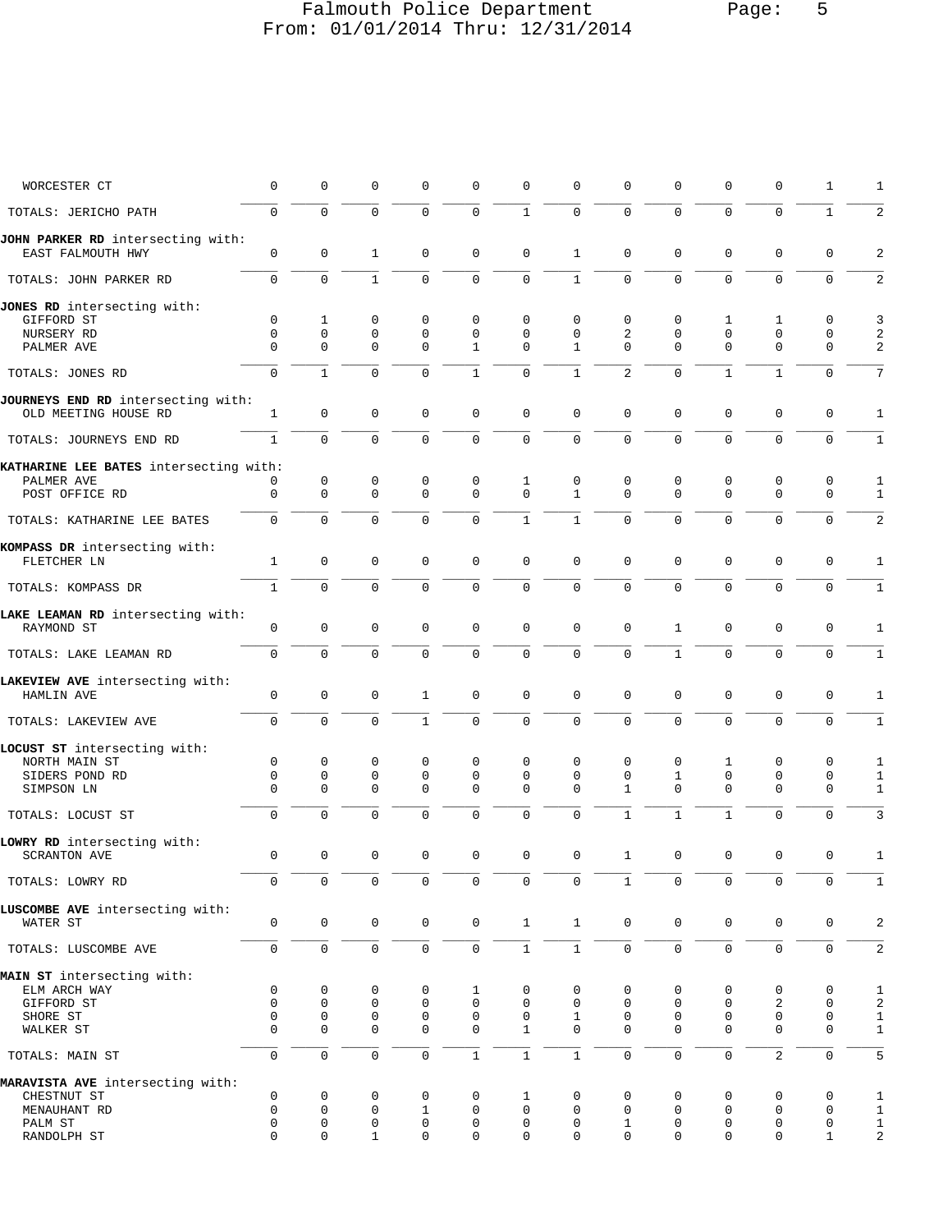# Falmouth Police Department Page: 5 From: 01/01/2014 Thru: 12/31/2014

| WORCESTER CT                                               | $\mathbf 0$  | 0            | $\Omega$     | 0                   | 0            | $\Omega$     | ∩            | U              | 0            | 0            | 0              | 1            | 1                       |
|------------------------------------------------------------|--------------|--------------|--------------|---------------------|--------------|--------------|--------------|----------------|--------------|--------------|----------------|--------------|-------------------------|
| TOTALS: JERICHO PATH                                       | $\Omega$     | $\mathbf 0$  | $\Omega$     | $\Omega$            | $\mathbf 0$  | $\mathbf{1}$ | $\Omega$     | $\Omega$       | $\Omega$     | $\mathbf 0$  | $\Omega$       | $\mathbf{1}$ | $\sqrt{2}$              |
| JOHN PARKER RD intersecting with:<br>EAST FALMOUTH HWY     | $\mathbf 0$  | $\mathbf 0$  | $\mathbf{1}$ | 0                   | $\mathbf 0$  | $\mathbf 0$  | $\mathbf{1}$ | $\mathbf 0$    | $\mathbf 0$  | $\mathbf 0$  | $\Omega$       | 0            | $\overline{a}$          |
| TOTALS: JOHN PARKER RD                                     | $\Omega$     | 0            | $\mathbf{1}$ | 0                   | $\Omega$     | $\mathbf 0$  | $\mathbf{1}$ | 0              | $\Omega$     | $\mathbf 0$  | $\Omega$       | 0            | 2                       |
| JONES RD intersecting with:                                |              |              |              |                     |              |              |              |                |              |              |                |              |                         |
| GIFFORD ST                                                 | $\mathbf 0$  | $\mathbf{1}$ | 0            | $\mathbf 0$         | $\Omega$     | 0            | $\mathbf 0$  | 0              | 0            | $\mathbf{1}$ | 1              | 0            | 3                       |
| NURSERY RD                                                 | $\mathbf 0$  | $\mathbf 0$  | $\mathbf 0$  | $\mathbf 0$         | $\mathbf 0$  | $\mathbf 0$  | $\mathbf 0$  | $\overline{c}$ | $\mathbf 0$  | $\mathbf 0$  | $\mathbf 0$    | $\mathbf 0$  | 2                       |
| PALMER AVE                                                 | $\Omega$     | $\mathbf 0$  | $\mathbf 0$  | $\mathbf 0$         | 1            | $\Omega$     | $\mathbf{1}$ | $\Omega$       | $\Omega$     | $\mathbf 0$  | 0              | 0            | 2                       |
| TOTALS: JONES RD                                           | $\Omega$     | $\mathbf{1}$ | $\Omega$     | $\Omega$            | $\mathbf{1}$ | $\mathbf 0$  | $\mathbf{1}$ | $\overline{a}$ | $\Omega$     | $\mathbf{1}$ | $\mathbf{1}$   | $\mathbf 0$  | 7                       |
| JOURNEYS END RD intersecting with:<br>OLD MEETING HOUSE RD | $\mathbf{1}$ | $\mathbf 0$  | $\mathbf 0$  | $\mathbf 0$         | $\mathbf 0$  | $\mathbf 0$  | $\mathbf 0$  | $\mathbf 0$    | $\mathbf 0$  | $\mathbf 0$  | $\mathbf 0$    | $\mathbf 0$  | $\mathbf{1}$            |
| TOTALS: JOURNEYS END RD                                    | $\mathbf{1}$ | $\mathbf 0$  | $\mathbf 0$  | $\mathbf 0$         | $\mathbf 0$  | $\mathbf 0$  | $\mathbf 0$  | 0              | $\mathbf 0$  | $\mathbf 0$  | $\Omega$       | $\mathbf 0$  | $\mathbf{1}$            |
| KATHARINE LEE BATES intersecting with:                     |              |              |              |                     |              |              |              |                |              |              |                |              |                         |
| PALMER AVE                                                 | 0            | 0            | 0            | 0                   | 0            | 1            | 0            | 0              | 0            | 0            | 0              | 0            | $\mathbf{1}$            |
| POST OFFICE RD                                             | $\mathbf 0$  | $\mathbf 0$  | $\mathbf 0$  | $\mathbf 0$         | $\Omega$     | $\Omega$     | $\mathbf{1}$ | $\Omega$       | $\Omega$     | $\Omega$     | $\mathbf{0}$   | $\mathbf 0$  | $\mathbf{1}$            |
| TOTALS: KATHARINE LEE BATES                                | $\Omega$     | $\Omega$     | $\Omega$     | $\Omega$            | $\Omega$     | $\mathbf{1}$ | $\mathbf{1}$ | $\Omega$       | $\Omega$     | $\Omega$     | $\Omega$       | $\Omega$     | $\overline{a}$          |
|                                                            |              |              |              |                     |              |              |              |                |              |              |                |              |                         |
| KOMPASS DR intersecting with:<br>FLETCHER LN               | $\mathbf{1}$ | $\mathbf 0$  | 0            | $\mathbf 0$         | $\mathbf 0$  | $\mathbf 0$  | $\mathbf 0$  | $\mathbf 0$    | $\mathbf 0$  | $\mathbf 0$  | $\mathbf 0$    | 0            | 1                       |
| TOTALS: KOMPASS DR                                         | $\mathbf{1}$ | $\mathbf 0$  | $\mathbf 0$  | $\mathbf 0$         | 0            | $\mathbf 0$  | 0            | 0              | $\mathbf 0$  | $\mathbf 0$  | 0              | $\mathbf 0$  | $\mathbf{1}$            |
|                                                            |              |              |              |                     |              |              |              |                |              |              |                |              |                         |
| LAKE LEAMAN RD intersecting with:<br>RAYMOND ST            | $\mathbf 0$  | $\mathbf 0$  | $\mathbf 0$  | $\mathbf 0$         | $\mathbf 0$  | $\mathbf 0$  | $\mathbf 0$  | $\mathbf 0$    | $\mathbf{1}$ | $\mathbf 0$  | $\Omega$       | $\mathbf 0$  | 1                       |
| TOTALS: LAKE LEAMAN RD                                     | $\Omega$     | $\mathbf 0$  | $\Omega$     | 0                   | 0            | $\mathbf 0$  | $\mathbf 0$  | $\mathbf 0$    | $\mathbf{1}$ | $\mathbf 0$  | $\Omega$       | $\mathbf 0$  | $\mathbf{1}$            |
|                                                            |              |              |              |                     |              |              |              |                |              |              |                |              |                         |
| LAKEVIEW AVE intersecting with:<br>HAMLIN AVE              | $\mathbf 0$  | $\mathbf 0$  | $\mathbf 0$  | 1                   | $\mathbf 0$  | $\mathbf 0$  | $\mathbf 0$  | $\mathbf 0$    | $\mathbf 0$  | $\mathbf 0$  | $\mathbf 0$    | $\mathbf 0$  | 1                       |
| TOTALS: LAKEVIEW AVE                                       | $\mathbf 0$  | $\Omega$     | $\Omega$     | $\mathbf{1}$        | $\mathbf 0$  | $\mathbf 0$  | $\Omega$     | $\Omega$       | $\Omega$     | $\Omega$     | $\Omega$       | $\Omega$     | $\mathbf{1}$            |
| LOCUST ST intersecting with:                               |              |              |              |                     |              |              |              |                |              |              |                |              |                         |
| NORTH MAIN ST                                              | $\mathbf 0$  | 0            | 0            | 0                   | 0            | $\mathbf 0$  | $\mathbf 0$  | 0              | 0            | 1            | 0              | 0            | $\mathbf{1}$            |
|                                                            | $\mathbf 0$  | 0            | $\mathbf 0$  | $\mathbf 0$         | 0            | 0            | $\Omega$     | 0              | $\mathbf{1}$ | $\mathbf 0$  | $\mathbf{0}$   | 0            |                         |
| SIDERS POND RD                                             |              |              |              |                     |              |              |              |                |              |              |                |              | $\mathbf{1}$            |
| SIMPSON LN                                                 | $\Omega$     | $\mathbf 0$  | $\Omega$     | $\Omega$            | $\Omega$     | $\Omega$     | $\Omega$     | $\mathbf{1}$   | $\Omega$     | $\mathbf 0$  | $\Omega$       | $\mathbf 0$  | $\mathbf{1}$            |
| TOTALS: LOCUST ST                                          | $\mathbf 0$  | $\Omega$     | $\Omega$     | $\Omega$            | $\Omega$     | $\Omega$     | $\mathbf{0}$ | $\mathbf{1}$   | $\mathbf{1}$ | $\mathbf{1}$ | $\Omega$       | $\Omega$     | $\overline{3}$          |
| LOWRY RD intersecting with:                                |              |              |              |                     |              |              |              |                |              |              |                |              |                         |
| <b>SCRANTON AVE</b>                                        | $\mathbf 0$  | 0            | $\mathbf 0$  | $\mathbf 0$         | $\mathbf 0$  | $\mathbf 0$  | $\mathbf{0}$ | $\mathbf{1}$   | $\mathbf 0$  | $\mathbf 0$  | $\mathbf 0$    | 0            | 1                       |
| TOTALS: LOWRY RD                                           | $\mathbf 0$  | $\mathbf 0$  | $\mathbf 0$  | $\mathbf 0$         | $\mathsf 0$  | $\mathbf 0$  | $\mathsf 0$  | $\mathbf{1}$   | $\mathbf 0$  | $\mathbf 0$  | $\mathbf 0$    | $\mathbf 0$  | $\mathbf{1}$            |
| LUSCOMBE AVE intersecting with:                            |              |              |              |                     |              |              |              |                |              |              |                |              |                         |
| WATER ST                                                   | 0            | $\mathbf 0$  | $\mathbf 0$  | $\mathbf 0$         | $\mathsf 0$  | $\mathbf{1}$ | $\mathbf{1}$ | 0              | $\mathbf 0$  | $\mathbf 0$  | $\mathbf 0$    | 0            | $\overline{\mathbf{c}}$ |
| TOTALS: LUSCOMBE AVE                                       | $\mathsf 0$  | $\mathsf 0$  | $\mathsf 0$  | 0                   | $\mathsf 0$  | $\mathbf 1$  | $\mathbf 1$  | 0              | $\mathsf 0$  | $\mathsf 0$  | $\mathbb O$    | $\mathbf 0$  | $\sqrt{2}$              |
| MAIN ST intersecting with:                                 |              |              |              |                     |              |              |              |                |              |              |                |              |                         |
| ELM ARCH WAY                                               | 0            | 0            | 0            | 0                   | 1            | 0            | 0            | 0              | 0            | 0            | 0              | 0            | 1                       |
| GIFFORD ST                                                 | $\mathbf 0$  | $\mathbf 0$  | $\mathbf 0$  | $\mathbf 0$         | $\mathbf 0$  | $\mathbf 0$  | $\mathbf 0$  | $\mathbf 0$    | 0            | 0            | 2              | $\mathbf 0$  | $\sqrt{2}$              |
| SHORE ST                                                   | $\Omega$     | 0            | 0            | $\mathbf 0$         | $\mathbf 0$  | $\mathbf 0$  | 1            | 0              | $\mathbf 0$  | $\mathbf 0$  | $\mathbf 0$    | 0            | 1                       |
| WALKER ST                                                  | $\Omega$     | 0            | $\mathbf 0$  | $\mathbf 0$         | $\mathbf 0$  | $\mathbf{1}$ | $\Omega$     | $\Omega$       | $\Omega$     | $\mathbf 0$  | $\mathbf 0$    | $\mathbf 0$  | 1                       |
| TOTALS: MAIN ST                                            | $\mathbf 0$  | $\mathsf 0$  | $\mathsf 0$  | 0                   | $\mathbf{1}$ | $\,1\,$      | $1\,$        | 0              | $\mathsf 0$  | $\mathsf 0$  | $\overline{c}$ | $\mathsf 0$  | 5                       |
| MARAVISTA AVE intersecting with:                           |              |              |              |                     |              |              |              |                |              |              |                |              |                         |
| CHESTNUT ST                                                | $\mathbf 0$  | 0            | 0            | 0                   | $\mathbf 0$  | 1            | 0            | 0              | 0            | 0            | 0              | 0            | 1                       |
| MENAUHANT RD                                               | 0            | 0            | $\mathbf 0$  | 1                   | $\mathbf 0$  | $\mathbf 0$  | $\mathbf 0$  | $\mathbf 0$    | $\mathbf 0$  | $\mathbf 0$  | $\mathbf 0$    | 0            | $\mathbf{1}$            |
| PALM ST                                                    | $\mathbf 0$  | 0            | $\mathsf 0$  | $\mathsf{O}\xspace$ | 0            | $\mathbf 0$  | $\mathbf 0$  | $\mathbf{1}$   | 0            | $\mathbf 0$  | $\mathbf 0$    | $\mathsf 0$  | $\mathbf{1}$            |
| RANDOLPH ST                                                | $\mathbf 0$  | 0            | $\mathbf{1}$ | 0                   | $\mathbf 0$  | $\mathbf 0$  | $\mathbf 0$  | 0              | 0            | $\mathbf 0$  | $\mathbf 0$    | $\mathbf{1}$ | 2                       |
|                                                            |              |              |              |                     |              |              |              |                |              |              |                |              |                         |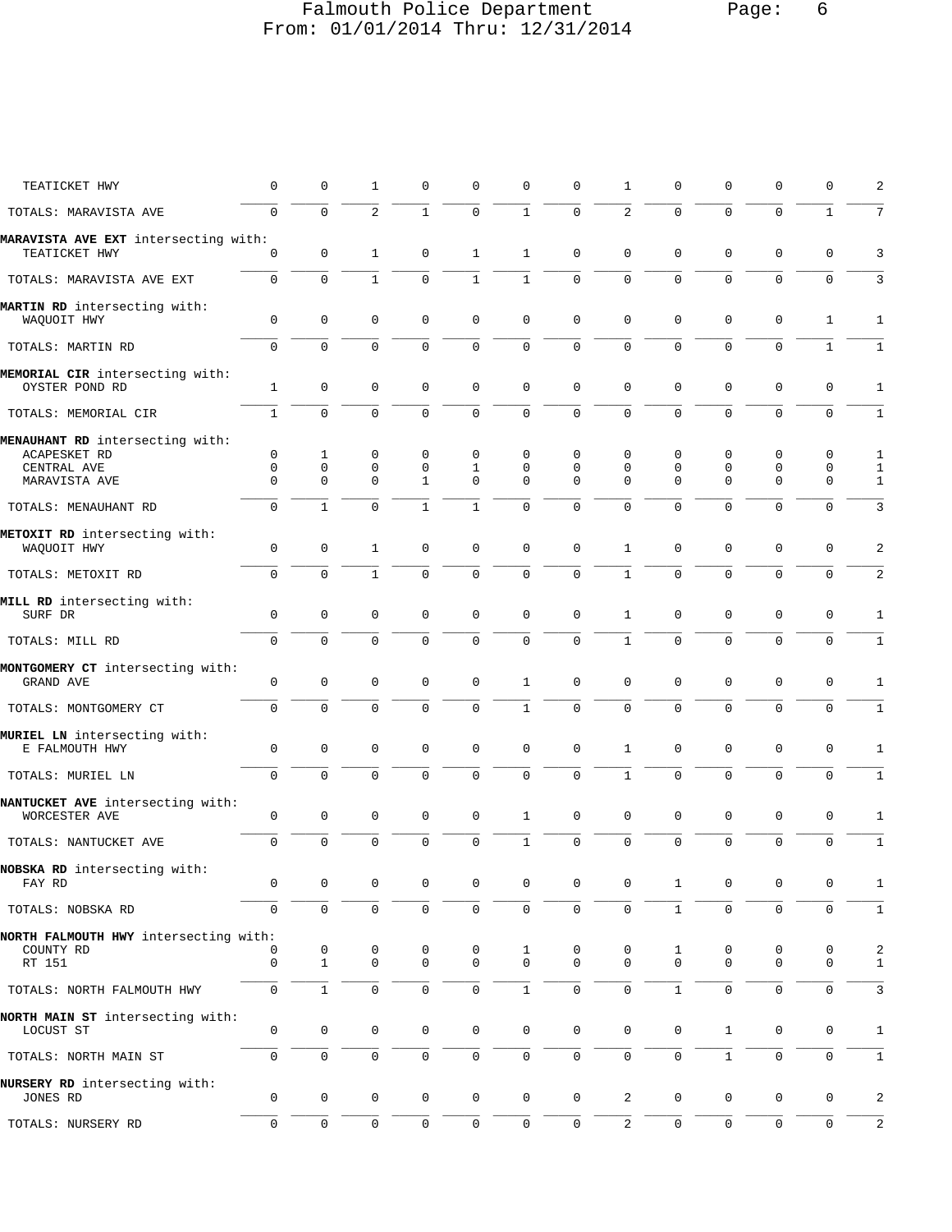# Falmouth Police Department Page: 6 From: 01/01/2014 Thru: 12/31/2014

| TEATICKET HWY                                     | 0                   | $\mathbf 0$         | 1                            | $\mathbf 0$                | 0                   | 0                   | $\mathbf 0$         | 1                          | 0                | 0            | $\mathbf 0$         | 0            | 2                 |
|---------------------------------------------------|---------------------|---------------------|------------------------------|----------------------------|---------------------|---------------------|---------------------|----------------------------|------------------|--------------|---------------------|--------------|-------------------|
| TOTALS: MARAVISTA AVE                             | $\mathbf 0$         | $\mathbf 0$         | $\overline{a}$               | $\mathbf{1}$               | 0                   | $\mathbf{1}$        | $\mathbf 0$         | $\overline{a}$             | $\Omega$         | $\Omega$     | $\overline{0}$      | $\mathbf{1}$ | 7                 |
| MARAVISTA AVE EXT intersecting with:              |                     |                     |                              |                            |                     |                     | $\mathbf{0}$        |                            |                  | $\mathbf 0$  | $\mathbf 0$         | $\mathbf 0$  |                   |
| TEATICKET HWY<br>TOTALS: MARAVISTA AVE EXT        | 0<br>$\mathbf{0}$   | 0<br>$\mathbf 0$    | $\mathbf{1}$<br>$\mathbf{1}$ | $\mathbf 0$<br>$\mathbf 0$ | 1<br>$\mathbf{1}$   | 1<br>$\mathbf{1}$   | $\mathbf 0$         | $\mathbf 0$<br>$\mathbf 0$ | 0<br>$\mathbf 0$ | $\mathbf 0$  | $\mathbf 0$         | $\mathbf 0$  | 3<br>$\mathbf{3}$ |
|                                                   |                     |                     |                              |                            |                     |                     |                     |                            |                  |              |                     |              |                   |
| MARTIN RD intersecting with:<br>WAQUOIT HWY       | $\mathbf 0$         | $\mathbf 0$         | 0                            | $\mathbf 0$                | 0                   | $\mathbf 0$         | $\mathbf{0}$        | $\Omega$                   | 0                | $\mathbf 0$  | $\mathbf 0$         | 1            | 1                 |
| TOTALS: MARTIN RD                                 | $\Omega$            | $\Omega$            | $\Omega$                     | $\Omega$                   | 0                   | $\mathbf 0$         | $\mathbf{0}$        | $\Omega$                   | $\Omega$         | $\Omega$     | $\Omega$            | $\mathbf{1}$ | $\mathbf{1}$      |
| MEMORIAL CIR intersecting with:<br>OYSTER POND RD | $\mathbf{1}$        | $\mathbf 0$         | $\mathbf 0$                  | $\mathbf 0$                | 0                   | $\mathbf 0$         | $\mathbf 0$         | $\mathbf 0$                | 0                | 0            | $\mathbf 0$         | $\mathbf 0$  | 1                 |
| TOTALS: MEMORIAL CIR                              | $\mathbf{1}$        | $\mathbf 0$         | $\mathbf 0$                  | 0                          | $\mathbf{0}$        | 0                   | $\mathsf{O}\xspace$ | 0                          | 0                | 0            | 0                   | 0            | $1\,$             |
| MENAUHANT RD intersecting with:                   |                     |                     |                              |                            |                     |                     |                     |                            |                  |              |                     |              |                   |
| ACAPESKET RD                                      | $\mathbf 0$         | 1                   | 0                            | 0                          | 0                   | 0                   | $\mathbf 0$         | $\mathbf 0$                | $\mathbf 0$      | $\mathbf 0$  | $\mathbf 0$         | 0            | 1                 |
| CENTRAL AVE                                       | 0                   | $\mathbf 0$         | 0                            | 0                          | 1                   | 0                   | 0<br>$\Omega$       | 0                          | 0                | 0            | 0                   | 0            | $\mathbf{1}$      |
| MARAVISTA AVE                                     | $\Omega$            | $\mathbf 0$         | 0                            | 1                          | 0                   | $\Omega$            |                     | $\Omega$                   | 0                | $\Omega$     | $\mathbf 0$         | 0            | $\mathbf{1}$      |
| TOTALS: MENAUHANT RD                              | 0                   | $\mathbf{1}$        | $\mathbf 0$                  | 1                          | $\mathbf{1}$        | 0                   | $\mathbf{0}$        | 0                          | 0                | 0            | 0                   | 0            | 3                 |
| METOXIT RD intersecting with:                     |                     |                     |                              |                            |                     |                     |                     |                            |                  |              |                     |              |                   |
| WAQUOIT HWY                                       | $\mathbf{0}$        | $\mathbf 0$         | $\mathbf{1}$                 | $\mathbf 0$                | 0                   | $\mathbf 0$         | $\mathbf 0$         | $\mathbf{1}$               | $\mathbf 0$      | $\mathbf 0$  | $\mathbf 0$         | $\mathbf 0$  | 2                 |
| TOTALS: METOXIT RD                                | $\mathbf 0$         | $\mathbf 0$         | $\mathbf{1}$                 | 0                          | $\mathbf{0}$        | $\mathbf 0$         | $\mathbf 0$         | $\mathbf{1}$               | $\mathbf 0$      | $\mathbf 0$  | 0                   | $\Omega$     | $\sqrt{2}$        |
| MILL RD intersecting with:                        |                     |                     |                              |                            |                     |                     |                     |                            |                  |              |                     |              |                   |
| SURF DR                                           | $\mathbf{0}$        | $\mathbf 0$         | $\mathbf 0$                  | $\mathbf 0$                | 0                   | $\mathbf 0$         | $\mathbf 0$         | 1                          | $\mathbf 0$      | $\mathbf 0$  | $\mathbf 0$         | 0            | 1                 |
| TOTALS: MILL RD                                   | $\Omega$            | $\Omega$            | $\Omega$                     | $\Omega$                   | $\Omega$            | $\mathbf 0$         | $\mathbf{0}$        | $\mathbf{1}$               | $\Omega$         | $\Omega$     | $\Omega$            | $\Omega$     | $1\,$             |
|                                                   |                     |                     |                              |                            |                     |                     |                     |                            |                  |              |                     |              |                   |
| MONTGOMERY CT intersecting with:<br>GRAND AVE     | 0                   | $\mathbf 0$         | 0                            | $\mathbf 0$                | 0                   | 1                   | $\mathbf 0$         | $\Omega$                   | 0                | 0            | $\mathbf 0$         | 0            | 1                 |
| TOTALS: MONTGOMERY CT                             | $\mathbf 0$         | $\mathbf 0$         | $\mathbf 0$                  | $\mathbf 0$                | $\mathbf{0}$        | $\mathbf{1}$        | $\mathbf 0$         | $\mathbf 0$                | $\mathbf 0$      | $\mathbf 0$  | $\mathbf 0$         | $\mathbf 0$  | $\mathbf{1}$      |
| MURIEL LN intersecting with:                      |                     |                     |                              |                            |                     |                     |                     |                            |                  |              |                     |              |                   |
| E FALMOUTH HWY                                    | $\mathbf 0$         | $\mathbf 0$         | $\mathbf 0$                  | $\mathbf 0$                | 0                   | $\mathbf 0$         | $\mathbf{0}$        | $\mathbf{1}$               | 0                | $\mathbf 0$  | $\mathbf 0$         | 0            | 1                 |
| TOTALS: MURIEL LN                                 | 0                   | $\Omega$            | $\Omega$                     | $\Omega$                   | $\mathbf{0}$        | $\Omega$            | $\Omega$            | $\mathbf{1}$               | $\Omega$         | $\Omega$     | 0                   | $\Omega$     | 1                 |
| NANTUCKET AVE intersecting with:                  |                     |                     |                              |                            |                     |                     |                     |                            |                  |              |                     |              |                   |
| WORCESTER AVE                                     | $\mathbf 0$         | $\mathbf 0$         | $\mathbf 0$                  | $\mathbf 0$                | 0                   | 1                   | $\mathbf 0$         | $\mathbf 0$                | 0                | 0            | $\mathsf 0$         | $\mathbf 0$  | 1                 |
| TOTALS: NANTUCKET AVE                             | $\mathbf 0$         | $\mathbf 0$         | $\mathbf 0$                  | $\mathbf 0$                | 0                   | $\mathbf{1}$        | $\mathbf{0}$        | $\mathbf 0$                | 0                | $\mathbf 0$  | $\mathbf 0$         | $\mathbf 0$  | $\mathbf{1}$      |
| NOBSKA RD intersecting with:                      |                     |                     |                              |                            |                     |                     |                     |                            |                  |              |                     |              |                   |
| FAY RD                                            | 0                   | 0                   | 0                            | 0                          | 0                   | 0                   | 0                   | 0                          | 1                | 0            | 0                   | 0            | 1                 |
| TOTALS: NOBSKA RD                                 | $\mathsf{O}\xspace$ | $\mathbf 0$         | $\mathsf 0$                  | $\mathsf{O}\xspace$        | $\mathsf{O}\xspace$ | $\mathsf 0$         | $\mathbb O$         | $\mathsf 0$                | $\mathbf{1}$     | 0            | $\mathsf 0$         | 0            | $\,1\,$           |
| NORTH FALMOUTH HWY intersecting with:             |                     |                     |                              |                            |                     |                     |                     |                            |                  |              |                     |              |                   |
| COUNTY RD                                         | 0                   | 0                   | 0                            | 0                          | 0                   | 1                   | 0                   | 0                          | 1                | 0            | 0                   | 0            | 2                 |
| RT 151                                            | $\mathbf 0$         | $\mathbf{1}$        | 0                            | $\mathbf 0$                | $\mathbf 0$         | $\mathbf 0$         | $\mathbf 0$         | $\Omega$                   | $\mathbf 0$      | $\mathbf 0$  | $\mathbf 0$         | 0            | $\mathbf{1}$      |
|                                                   |                     |                     |                              |                            |                     |                     |                     |                            |                  |              |                     |              |                   |
| TOTALS: NORTH FALMOUTH HWY                        | 0                   | $\mathbf{1}$        | 0                            | $\mathbf 0$                | 0                   | $\mathbf{1}$        | $\mathbf 0$         | 0                          | $\mathbf{1}$     | $\mathbf 0$  | $\mathbf 0$         | $\mathbf 0$  | 3                 |
| NORTH MAIN ST intersecting with:                  |                     |                     |                              |                            |                     |                     |                     |                            |                  |              |                     |              |                   |
| LOCUST ST                                         | 0                   | $\mathbf 0$         | $\mathbf 0$                  | $\mathbf 0$                | $\mathbf 0$         | $\mathbf 0$         | $\mathbf 0$         | $\mathbf 0$                | 0                | $\mathbf{1}$ | $\mathbf 0$         | $\mathbf 0$  | 1                 |
| TOTALS: NORTH MAIN ST                             | 0                   | $\mathsf 0$         | 0                            | $\mathsf{O}\xspace$        | 0                   | $\mathsf{O}\xspace$ | $\mathsf{O}\xspace$ | $\mathsf 0$                | 0                | $1\,$        | $\mathsf 0$         | 0            | $1\,$             |
| NURSERY RD intersecting with:                     |                     |                     |                              |                            |                     |                     |                     |                            |                  |              |                     |              |                   |
| JONES RD                                          | 0                   | $\mathsf{O}\xspace$ | $\mathbf 0$                  | 0                          | 0                   | $\mathsf 0$         | $\mathsf{O}\xspace$ | 2                          | 0                | $\mathbf 0$  | $\mathsf{O}\xspace$ | 0            | 2                 |
| TOTALS: NURSERY RD                                | $\mathbf 0$         | $\mathbb O$         | $\mathbf 0$                  | $\mathsf{O}\xspace$        | 0                   | $\mathsf{O}\xspace$ | $\mathsf{O}\xspace$ | 2                          | 0                | 0            | $\mathsf{O}\xspace$ | 0            | $\sqrt{2}$        |
|                                                   |                     |                     |                              |                            |                     |                     |                     |                            |                  |              |                     |              |                   |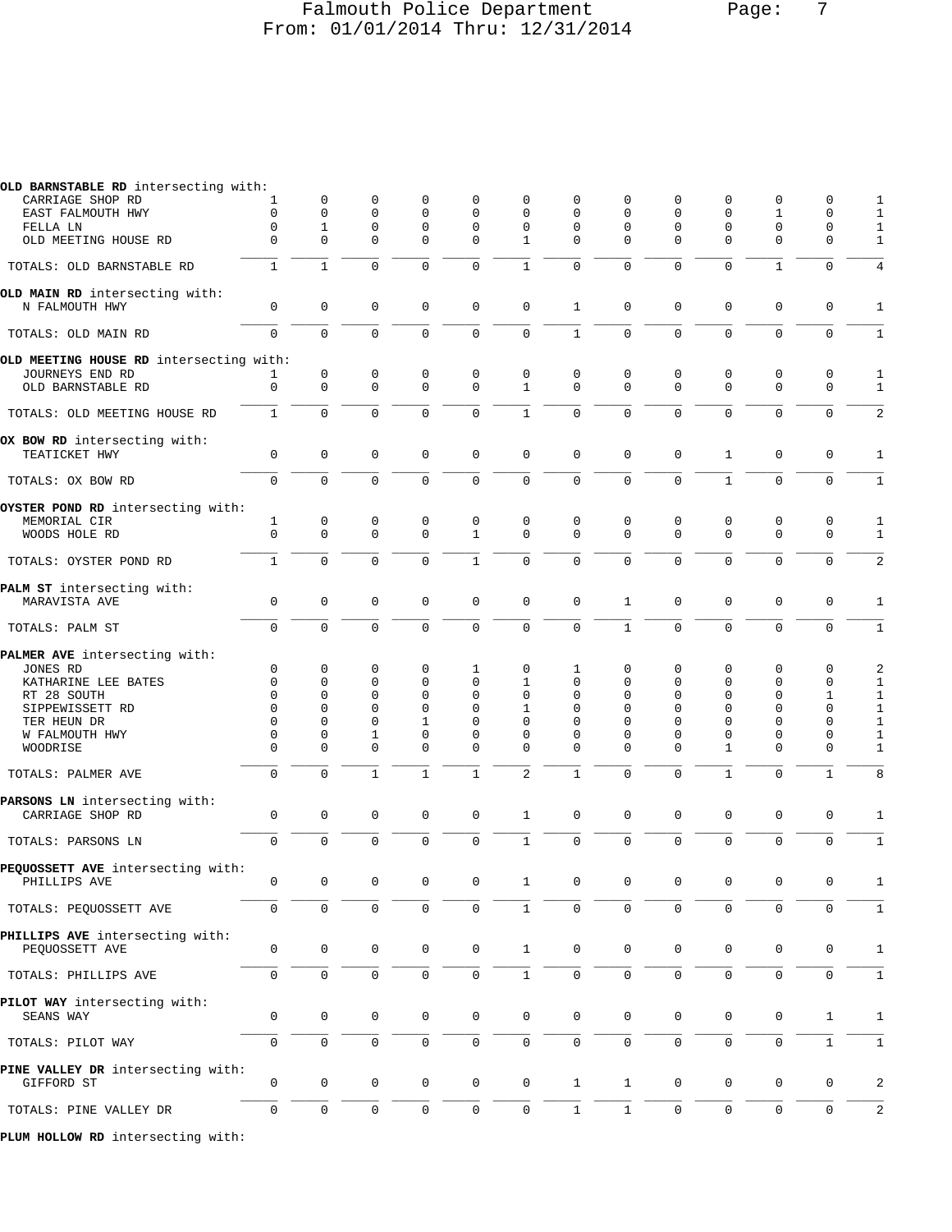# Falmouth Police Department Page: 7 From: 01/01/2014 Thru: 12/31/2014

| OLD BARNSTABLE RD intersecting with:              |                     |                  |                  |                  |                             |                  |               |               |               |                            |                     |                     |                   |
|---------------------------------------------------|---------------------|------------------|------------------|------------------|-----------------------------|------------------|---------------|---------------|---------------|----------------------------|---------------------|---------------------|-------------------|
| CARRIAGE SHOP RD                                  | 1                   | 0                | 0                | $\Omega$         | $\Omega$                    | 0                | 0             | 0             | 0             | $\Omega$                   | $\Omega$            | $\Omega$            |                   |
| EAST FALMOUTH HWY                                 | $\mathbf 0$         | 0                | 0                | 0                | $\Omega$                    | $\Omega$         | $\Omega$      | 0             | 0             | 0                          | 1                   | $\mathbf 0$         |                   |
| FELLA LN<br>OLD MEETING HOUSE RD                  | 0<br>$\Omega$       | 1<br>$\Omega$    | 0<br>$\Omega$    | 0<br>$\Omega$    | $\mathbf 0$<br>$\Omega$     | 0<br>1           | 0<br>$\Omega$ | 0<br>$\Omega$ | 0<br>$\Omega$ | $\mathbf 0$<br>$\mathbf 0$ | 0<br>$\Omega$       | 0<br>$\mathbf 0$    | 1<br>$\mathbf{1}$ |
| TOTALS: OLD BARNSTABLE RD                         | $\mathbf{1}$        | $\mathbf{1}$     | $\mathbf 0$      | $\Omega$         | $\Omega$                    | $\mathbf{1}$     | $\Omega$      | 0             | $\mathbf 0$   | $\mathbf{0}$               | $\mathbf{1}$        | $\mathbf 0$         | 4                 |
| OLD MAIN RD intersecting with:                    |                     |                  |                  |                  |                             |                  |               |               |               |                            |                     |                     |                   |
| N FALMOUTH HWY                                    | $\mathbf 0$         | 0                | $\mathbf 0$      | $\mathbf 0$      | $\mathbf 0$                 | $\mathbf 0$      | $\mathbf{1}$  | 0             | $\mathbf 0$   | $\mathbf{0}$               | $\mathsf 0$         | $\mathbf 0$         | 1                 |
| TOTALS: OLD MAIN RD                               | $\mathbf 0$         | $\mathbf 0$      | $\mathbf 0$      | $\mathbf 0$      | $\mathbf 0$                 | $\mathbf 0$      | $\mathbf{1}$  | 0             | $\mathbf 0$   | $\mathbf 0$                | $\mathbf 0$         | $\mathbf 0$         | 1                 |
| OLD MEETING HOUSE RD intersecting with:           |                     |                  |                  |                  | $\mathbf 0$                 | 0                | $\mathbf 0$   | 0             |               | $\mathbf 0$                |                     |                     |                   |
| JOURNEYS END RD<br>OLD BARNSTABLE RD              | $\mathbf 0$         | 0<br>$\mathbf 0$ | 0<br>$\mathbf 0$ | 0<br>$\Omega$    | $\Omega$                    | $\mathbf{1}$     | $\Omega$      | $\Omega$      | 0<br>$\Omega$ | $\Omega$                   | 0<br>$\Omega$       | 0<br>$\mathbf 0$    | 1<br>$\mathbf{1}$ |
| TOTALS: OLD MEETING HOUSE RD                      | $\mathbf{1}$        | $\mathbf 0$      | $\mathbf 0$      | 0                | $\mathbf 0$                 | $\mathbf{1}$     | 0             | 0             | $\mathbf 0$   | $\mathbf 0$                | 0                   | 0                   | 2                 |
| OX BOW RD intersecting with:                      |                     |                  |                  |                  |                             |                  |               |               |               |                            |                     |                     |                   |
| TEATICKET HWY                                     | $\mathbf 0$         | $\mathbf 0$      | $\mathbf 0$      | $\mathbf 0$      | $\mathbf 0$                 | $\mathbf 0$      | $\mathbf 0$   | 0             | $\mathbf 0$   | 1                          | 0                   | 0                   | 1                 |
| TOTALS: OX BOW RD                                 | $\mathbf 0$         | $\mathbf 0$      | $\mathbf 0$      | $\Omega$         | $\mathbf 0$                 | $\mathbf 0$      | 0             | 0             | $\mathbf 0$   | $\mathbf{1}$               | $\Omega$            | $\mathbf 0$         | 1                 |
| OYSTER POND RD intersecting with:                 |                     |                  |                  |                  |                             |                  |               |               |               |                            |                     |                     |                   |
| MEMORIAL CIR                                      | 1<br>$\mathbf 0$    | 0<br>0           | 0<br>$\Omega$    | 0<br>$\mathbf 0$ | $\mathbf 0$<br>$\mathbf{1}$ | 0<br>$\Omega$    | 0<br>$\Omega$ | 0<br>0        | 0<br>$\Omega$ | $\mathbf 0$<br>$\Omega$    | 0<br>$\mathbf{0}$   | 0<br>$\mathbf 0$    | 1                 |
| WOODS HOLE RD                                     |                     |                  |                  |                  |                             |                  |               |               |               |                            |                     |                     | $\mathbf{1}$      |
| TOTALS: OYSTER POND RD                            | $\mathbf{1}$        | $\mathbf 0$      | $\mathbf 0$      | 0                | $\mathbf{1}$                | $\mathbf 0$      | 0             | $\mathbf{0}$  | $\mathbf 0$   | $\mathbf 0$                | 0                   | $\mathbf 0$         | $\overline{a}$    |
| PALM ST intersecting with:<br>MARAVISTA AVE       | $\mathbf 0$         | $\mathbf 0$      | $\mathbf 0$      | $\mathbf 0$      | $\mathbf 0$                 | $\mathbf 0$      | $\mathbf 0$   | $\mathbf{1}$  | $\mathbf 0$   | $\mathbf 0$                | $\mathbf 0$         | $\mathbf 0$         | 1                 |
|                                                   |                     |                  |                  |                  |                             |                  |               |               |               |                            |                     |                     |                   |
| TOTALS: PALM ST                                   | $\mathsf{O}\xspace$ | $\mathbf 0$      | $\mathbf 0$      | 0                | $\mathbf 0$                 | $\mathbf 0$      | 0             | $\mathbf{1}$  | $\mathbf 0$   | $\mathbf 0$                | $\mathbf 0$         | $\mathsf{O}\xspace$ | $\mathbf{1}$      |
| PALMER AVE intersecting with:                     |                     |                  |                  |                  |                             |                  |               |               |               |                            |                     |                     |                   |
| JONES RD                                          | 0<br>$\Omega$       | 0<br>$\Omega$    | 0<br>0           | 0<br>$\Omega$    | 1<br>$\Omega$               | $\mathbf 0$<br>1 | 1<br>$\Omega$ | 0<br>$\Omega$ | 0<br>0        | 0<br>$\Omega$              | 0<br>$\Omega$       | 0<br>$\mathbf 0$    | 2                 |
| KATHARINE LEE BATES<br>RT 28 SOUTH                | $\Omega$            | $\Omega$         | 0                | $\Omega$         | $\Omega$                    | $\Omega$         | $\Omega$      | $\Omega$      | 0             | 0                          | $\Omega$            | $\mathbf{1}$        | 1<br>$\mathbf{1}$ |
| SIPPEWISSETT RD                                   | $\Omega$            | 0                | $\Omega$         | $\mathbf 0$      | $\Omega$                    | 1                | $\Omega$      | $\Omega$      | 0             | $\Omega$                   | $\Omega$            | $\mathbf 0$         | $\mathbf{1}$      |
| TER HEUN DR                                       | $\Omega$            | $\Omega$         | $\Omega$         | 1                | $\Omega$                    | $\Omega$         | $\Omega$      | $\Omega$      | $\Omega$      | $\Omega$                   | $\Omega$            | $\mathbf 0$         | $\mathbf{1}$      |
| W FALMOUTH HWY                                    | $\mathbf 0$         | 0                | 1                | 0                | $\mathbf 0$                 | 0                | 0             | 0             | 0             | 0                          | 0                   | $\mathbf 0$         | 1                 |
| WOODRISE                                          | $\mathbf 0$         | 0                | 0                | 0                | 0                           | 0                | $\Omega$      | $\Omega$      | $\Omega$      | 1                          | 0                   | $\mathbf 0$         | 1                 |
| TOTALS: PALMER AVE                                | $\mathbf 0$         | $\Omega$         | $\mathbf{1}$     | $\mathbf{1}$     | $\mathbf{1}$                | $\overline{2}$   | $\mathbf{1}$  | $\Omega$      | 0             | $\mathbf{1}$               | $\Omega$            | $\mathbf{1}$        | 8                 |
| PARSONS LN intersecting with:                     |                     |                  |                  |                  |                             |                  |               |               |               |                            |                     |                     |                   |
| CARRIAGE SHOP RD                                  | $\mathsf 0$         | $\mathsf 0$      | $\mathsf 0$      | 0                | $\mathbf 0$                 | $\mathbf{1}$     | $\mathbf 0$   | 0             | 0             | $\mathsf 0$                | 0                   | $\mathbf 0$         | $\mathbf{1}$      |
| TOTALS: PARSONS LN                                | $\mathbf 0$         | $\mathbf 0$      | $\mathbf 0$      | $\mathbf 0$      | $\mathbf 0$                 | $\mathbf{1}$     | 0             | 0             | $\mathbf 0$   | $\mathbf 0$                | $\mathbf 0$         | $\mathbf 0$         | 1                 |
| PEQUOSSETT AVE intersecting with:                 | $\cap$              | $\sim$ 0         | $\bigcirc$       | $\overline{0}$   | $\bigcap$                   | $\mathbf{1}$     | $\cap$        | $\bigcap$     | $\bigcap$     | $\Omega$                   |                     | $\mathbf{0}$        |                   |
| PHILLIPS AVE                                      |                     |                  |                  |                  |                             |                  |               |               |               |                            | $\overline{0}$      |                     | 1                 |
| TOTALS: PEQUOSSETT AVE                            | 0                   | 0                | $\mathbf 0$      | $\mathbf 0$      | $\mathbf 0$                 | 1                | 0             | 0             | $\mathbf 0$   | $\mathbf 0$                | 0                   | $\mathbf 0$         | 1                 |
| PHILLIPS AVE intersecting with:<br>PEQUOSSETT AVE | 0                   | $\mathbf 0$      | 0                | 0                | $\mathbf 0$                 | $\mathbf{1}$     | $\mathbf 0$   | 0             | 0             | 0                          | 0                   | 0                   | $\mathbf{1}$      |
| TOTALS: PHILLIPS AVE                              | $\mathsf{O}\xspace$ | $\mathbf 0$      | 0                | 0                | $\mathsf{O}\xspace$         | $\mathbf{1}$     | $\mathbf 0$   | 0             | 0             | $\mathsf 0$                | $\mathsf{O}\xspace$ | $\mathsf{O}\xspace$ | $\mathbf{1}$      |
| PILOT WAY intersecting with:                      |                     |                  |                  |                  |                             |                  |               |               |               |                            |                     |                     |                   |
| SEANS WAY                                         | 0                   | 0                | 0                | 0                | 0                           | $\mathbf 0$      | 0             | 0             | 0             | 0                          | 0                   | 1                   | 1                 |
| TOTALS: PILOT WAY                                 | $\mathbf 0$         | $\mathbf 0$      | $\mathbf 0$      | $\mathbf 0$      | $\mathbf 0$                 | $\mathbf 0$      | $\mathbf 0$   | 0             | $\mathbf 0$   | $\mathbf 0$                | $\mathbf 0$         | $\mathbf{1}$        | 1                 |
| PINE VALLEY DR intersecting with:<br>GIFFORD ST   | 0                   | 0                | 0                | 0                | $\mathbf 0$                 | $\mathbf 0$      | 1             | 1             | 0             | 0                          | 0                   | 0                   | $\overline{a}$    |
| TOTALS: PINE VALLEY DR                            | $\mathsf 0$         | $\mathsf 0$      | $\mathsf 0$      | 0                | $\mathbb O$                 | $\mathbb O$      | $\mathbf{1}$  | 1             | $\mathsf 0$   | $\mathsf 0$                | $\mathbf 0$         | $\mathsf{O}\xspace$ | 2                 |
|                                                   |                     |                  |                  |                  |                             |                  |               |               |               |                            |                     |                     |                   |

**PLUM HOLLOW RD** intersecting with: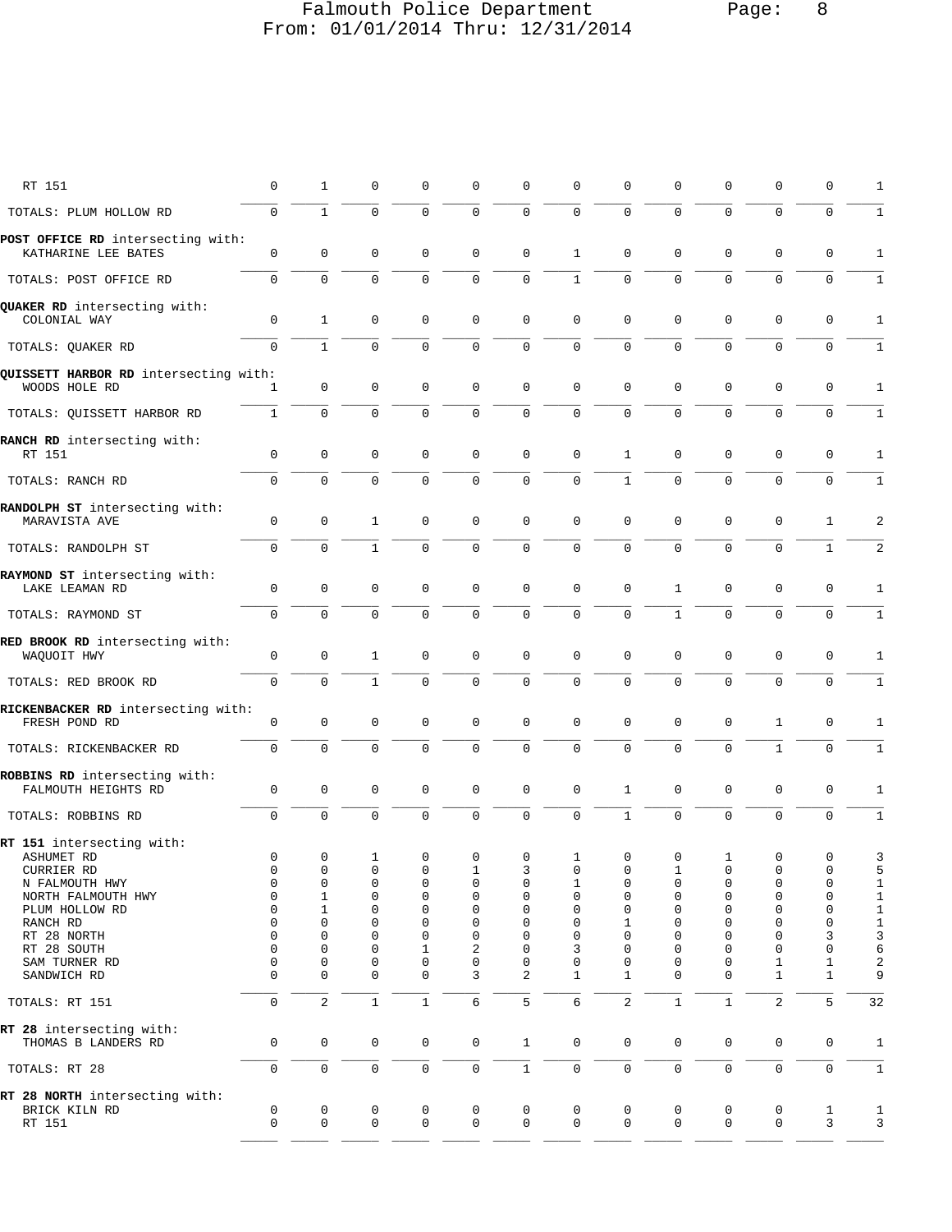# Falmouth Police Department Page: 8 From: 01/01/2014 Thru: 12/31/2014

| RT 151                                                                  | 0                       | 1                                    | 0                | $\mathbf 0$                                  | 0                     | 0                                 | 0                                 | 0                       | 0                                 | 0                       | 0                                                     | 0                               | 1                                                   |
|-------------------------------------------------------------------------|-------------------------|--------------------------------------|------------------|----------------------------------------------|-----------------------|-----------------------------------|-----------------------------------|-------------------------|-----------------------------------|-------------------------|-------------------------------------------------------|---------------------------------|-----------------------------------------------------|
| TOTALS: PLUM HOLLOW RD                                                  | $\mathbf 0$             | $\mathbf{1}$                         | $\mathbf 0$      | $\mathbf{0}$                                 | 0                     | $\mathsf 0$                       | $\mathbf 0$                       | 0                       | $\mathbf 0$                       | $\mathbf 0$             | $\mathbf 0$                                           | $\mathbf 0$                     | $\mathbf{1}$                                        |
| POST OFFICE RD intersecting with:<br>KATHARINE LEE BATES                | 0                       | $\mathbf 0$                          | 0                | $\mathbf 0$                                  | 0                     | 0                                 | 1                                 | 0                       | 0                                 | 0                       | $\mathbf 0$                                           | 0                               | 1                                                   |
| TOTALS: POST OFFICE RD                                                  | $\mathbf 0$             | $\mathbf 0$                          | $\mathbf 0$      | $\mathbf 0$                                  | 0                     | $\mathbf 0$                       | $\mathbf{1}$                      | $\mathbf 0$             | $\mathbf 0$                       | 0                       | $\mathbf 0$                                           | $\mathbf 0$                     | $\mathbf{1}$                                        |
| QUAKER RD intersecting with:<br>COLONIAL WAY                            | $\mathbf 0$             | 1                                    | 0                | $\mathbf 0$                                  | $\mathbf 0$           | $\mathsf 0$                       | $\mathbf 0$                       | 0                       | 0                                 | $\mathsf 0$             | $\mathbf 0$                                           | 0                               | 1                                                   |
| TOTALS: QUAKER RD                                                       | 0                       | $\mathbf{1}$                         | $\Omega$         | $\Omega$                                     | 0                     | 0                                 | $\mathbf 0$                       | $\Omega$                | $\Omega$                          | $\Omega$                | $\Omega$                                              | $\mathbf 0$                     | $\mathbf{1}$                                        |
| QUISSETT HARBOR RD intersecting with:<br>WOODS HOLE RD                  | 1                       | $\mathbf 0$                          | $\mathbf 0$      | 0                                            | $\mathsf 0$           | $\mathsf 0$                       | $\mathsf 0$                       | $\mathsf 0$             | 0                                 | 0                       | $\mathsf 0$                                           | $\mathbf 0$                     | 1                                                   |
| TOTALS: QUISSETT HARBOR RD                                              | $\,1$                   | $\mathsf 0$                          | 0                | 0                                            | 0                     | $\mathsf 0$                       | $\mathsf 0$                       | $\mathbf 0$             | $\mathbf 0$                       | $\mathbf 0$             | $\mathbf 0$                                           | $\mathbf 0$                     | $1\,$                                               |
| RANCH RD intersecting with:<br>RT 151                                   | 0                       | $\mathbf 0$                          | 0                | 0                                            | 0                     | 0                                 | $\mathsf 0$                       | $\mathbf{1}$            | 0                                 | 0                       | 0                                                     | 0                               | 1                                                   |
| TOTALS: RANCH RD                                                        | $\mathbf 0$             | $\mathbf 0$                          | $\mathbf 0$      | $\mathbf{0}$                                 | 0                     | $\mathbf 0$                       | $\mathbf 0$                       | $\mathbf{1}$            | $\mathbf 0$                       | $\mathbf{0}$            | $\mathbf{0}$                                          | $\mathbf 0$                     | $\mathbf{1}$                                        |
| RANDOLPH ST intersecting with:<br>MARAVISTA AVE                         | 0                       | $\mathbf 0$                          | 1                | $\mathbf 0$                                  | 0                     | $\mathsf 0$                       | $\mathsf 0$                       | 0                       | 0                                 | 0                       | 0                                                     | 1                               | 2                                                   |
| TOTALS: RANDOLPH ST                                                     | 0                       | $\mathbf 0$                          | $\mathbf{1}$     | $\mathbf 0$                                  | 0                     | $\mathbf 0$                       | $\mathsf 0$                       | 0                       | $\mathbf 0$                       | $\mathbf 0$             | $\mathbf 0$                                           | $\mathbf{1}$                    | 2                                                   |
| RAYMOND ST intersecting with:<br>LAKE LEAMAN RD                         | 0                       | $\mathbf 0$                          | 0                | $\mathbf 0$                                  | $\mathbf 0$           | 0                                 | 0                                 | $\mathbf 0$             | 1                                 | 0                       | $\mathbf 0$                                           | 0                               | 1                                                   |
| TOTALS: RAYMOND ST                                                      | $\mathbf 0$             | $\mathbf 0$                          | $\mathbf 0$      | $\mathbf 0$                                  | 0                     | 0                                 | $\mathsf 0$                       | 0                       | $\mathbf 1$                       | 0                       | $\mathbf{0}$                                          | $\mathbf 0$                     | $\mathbf 1$                                         |
| RED BROOK RD intersecting with:<br>WAQUOIT HWY                          | $\mathbf 0$             | $\mathbf 0$                          | $\mathbf{1}$     | $\mathbf 0$                                  | $\mathbf 0$           | $\mathsf 0$                       | $\mathsf 0$                       | $\mathbf 0$             | 0                                 | 0                       | $\mathbf 0$                                           | $\mathbf 0$                     | 1                                                   |
| TOTALS: RED BROOK RD                                                    | $\mathbf 0$             | $\mathbf 0$                          | $\mathbf{1}$     | $\mathbf{0}$                                 | $\mathbf 0$           | $\mathbf 0$                       | $\mathbf 0$                       | $\Omega$                | $\Omega$                          | $\mathbf 0$             | $\mathbf{0}$                                          | $\mathbf 0$                     | 1                                                   |
| RICKENBACKER RD intersecting with:<br>FRESH POND RD                     | 0                       | 0                                    | 0                | $\mathbf 0$                                  | 0                     | 0                                 | $\mathsf 0$                       | 0                       | 0                                 | 0                       | 1                                                     | 0                               | 1                                                   |
| TOTALS: RICKENBACKER RD                                                 | $\mathbf 0$             | $\mathbf 0$                          | $\mathbf 0$      | $\mathbf{0}$                                 | 0                     | $\mathbf 0$                       | $\mathsf 0$                       | 0                       | $\mathbf 0$                       | $\mathbf 0$             | $\mathbf{1}$                                          | $\mathbf 0$                     | $\mathbf{1}$                                        |
| ROBBINS RD intersecting with:<br>FALMOUTH HEIGHTS RD                    | 0                       | 0                                    | 0                | 0                                            | 0                     | 0                                 | $\mathsf 0$                       | 1                       | 0                                 | 0                       | 0                                                     | 0                               | 1                                                   |
| TOTALS: ROBBINS RD                                                      | 0                       | $\mathbf 0$                          | $\mathbf 0$      | $\mathbf 0$                                  | 0                     | $\mathbf 0$                       | $\mathsf 0$                       | $\mathbf{1}$            | 0                                 | $\mathbf 0$             | $\mathbf 0$                                           | 0                               | 1                                                   |
| RT 151 intersecting with:<br>ASHUMET RD<br>CURRIER RD<br>N FALMOUTH HWY | 0<br>0<br>0             | $\mathbf 0$<br>0<br>0                | 1<br>0<br>0      | $\mathbf 0$<br>0<br>0                        | $\mathsf 0$<br>1<br>0 | $\mathsf 0$<br>3<br>0             | $\mathbf{1}$<br>0<br>$\mathbf{1}$ | $\mathsf 0$<br>0<br>0   | 0<br>0                            | $\mathbf{1}$<br>0<br>0  | $\mathbf 0$<br>0<br>$\mathbf 0$                       | $\mathbf 0$<br>0<br>$\mathbf 0$ | 3<br>5<br>$\mathbf 1$                               |
| NORTH FALMOUTH HWY<br>PLUM HOLLOW RD<br>RANCH RD<br>RT 28 NORTH         | 0<br>0<br>0<br>$\Omega$ | 1<br>1<br>$\mathbf 0$<br>$\mathbf 0$ | 0<br>0<br>0<br>0 | $\mathbf{0}$<br>0<br>$\mathbf 0$<br>$\Omega$ | 0<br>0<br>0<br>0      | 0<br>0<br>0<br>$\Omega$           | 0<br>0<br>0<br>$\mathbf 0$        | 0<br>0<br>1<br>$\Omega$ | $\mathbf 0$<br>0<br>0<br>$\Omega$ | 0<br>0<br>0<br>$\Omega$ | $\mathbf 0$<br>$\mathbf 0$<br>$\mathbf 0$<br>$\Omega$ | 0<br>0<br>$\Omega$<br>3         | $\mathbf 1$<br>$1\,$<br>$\mathbf 1$<br>$\mathsf{3}$ |
| RT 28 SOUTH<br>SAM TURNER RD<br>SANDWICH RD                             | 0<br>0<br>0             | $\mathbf 0$<br>0<br>$\mathbf 0$      | 0<br>0<br>0      | 1<br>$\mathbf 0$<br>$\mathbf{0}$             | 2<br>0<br>3           | 0<br>0<br>$\overline{\mathbf{c}}$ | 3<br>0<br>$\mathbf{1}$            | 0<br>0<br>1             | 0<br>0<br>$\mathbf 0$             | 0<br>0<br>0             | $\mathbf 0$<br>1<br>$\mathbf{1}$                      | $\mathbf 0$<br>1<br>$\mathbf 1$ | 6<br>$\sqrt{2}$<br>9                                |
| TOTALS: RT 151                                                          | 0                       | $\overline{a}$                       | $\mathbf{1}$     | $1\,$                                        | б                     | 5                                 | 6                                 | $\overline{a}$          | $\mathbf{1}$                      | $\mathbf{1}$            | $\overline{c}$                                        | 5                               | 32                                                  |
| RT 28 intersecting with:<br>THOMAS B LANDERS RD                         | 0                       | $\mathbf 0$                          | $\mathbf 0$      | $\mathbf 0$                                  | $\mathsf{O}\xspace$   | $\mathbf{1}$                      | $\mathbf 0$                       | $\mathbf 0$             | $\mathbf 0$                       | 0                       | 0                                                     | $\mathbf 0$                     | 1                                                   |
| TOTALS: RT 28                                                           | 0                       | $\mathsf{O}\xspace$                  | $\mathsf 0$      | 0                                            | $\mathsf{O}\xspace$   | $\mathbf{1}$                      | $\mathsf 0$                       | 0                       | 0                                 | 0                       | $\mathsf{O}\xspace$                                   | $\mathsf{O}\xspace$             | $\mathbf{1}$                                        |
| RT 28 NORTH intersecting with:<br>BRICK KILN RD<br>RT 151               | 0<br>$\mathbf 0$        | 0<br>$\mathbf 0$                     | 0<br>$\mathbf 0$ | 0<br>$\mathbf 0$                             | 0<br>$\mathbf 0$      | 0<br>$\mathbf 0$                  | 0<br>$\mathbf 0$                  | 0<br>$\mathbf 0$        | 0<br>$\mathbf 0$                  | 0<br>0                  | 0<br>$\mathbf 0$                                      | 1<br>3                          | 1<br>3                                              |
|                                                                         |                         |                                      |                  |                                              |                       |                                   |                                   |                         |                                   |                         |                                                       |                                 |                                                     |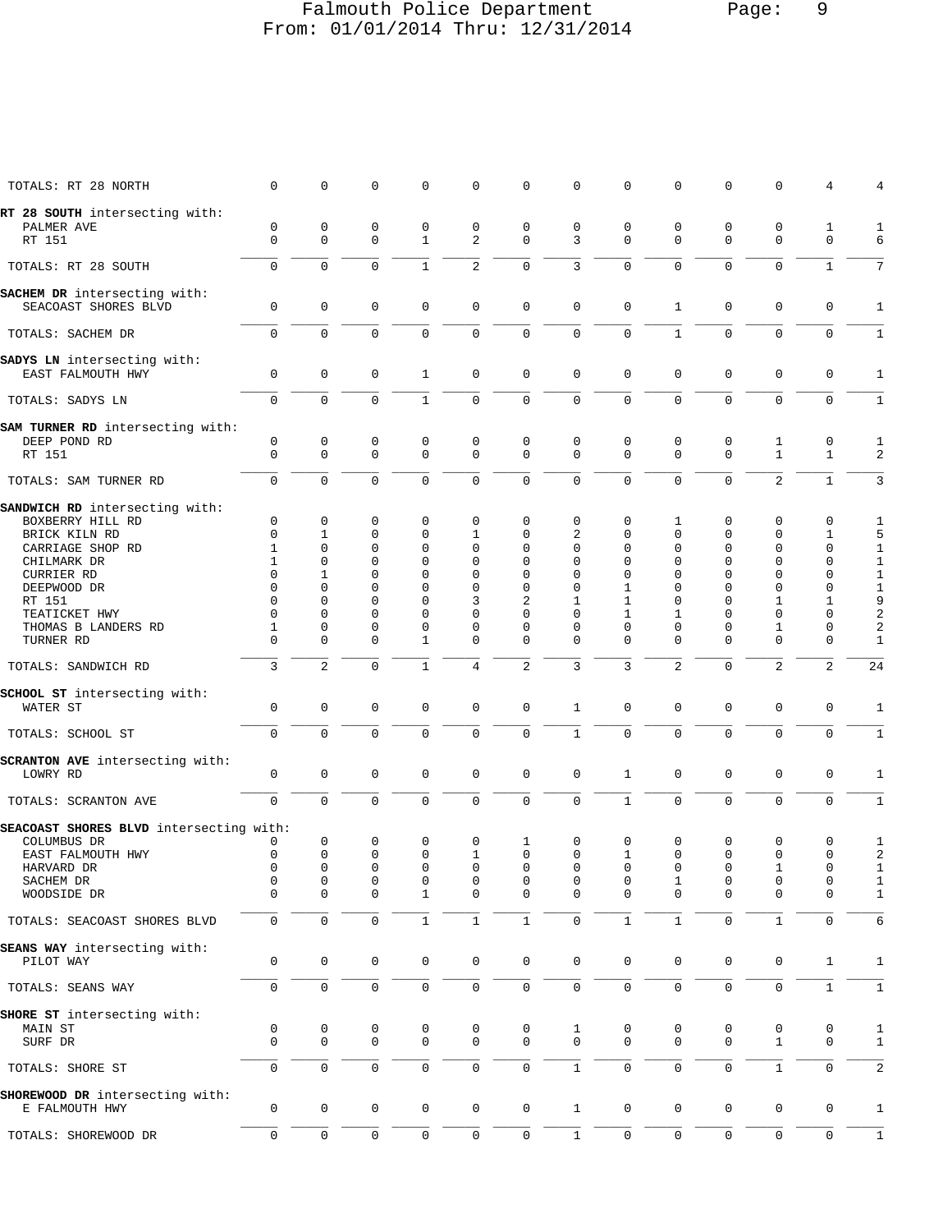## Falmouth Police Department Page: 9 From: 01/01/2014 Thru: 12/31/2014

| TOTALS: RT 28 NORTH                                  | 0                   | 0              | 0              | 0            | 0              | $\mathsf 0$         | 0              | $\mathbf 0$  | $\mathsf 0$  | $\mathbf 0$         | $\mathbf 0$  | 4                   | 4                       |
|------------------------------------------------------|---------------------|----------------|----------------|--------------|----------------|---------------------|----------------|--------------|--------------|---------------------|--------------|---------------------|-------------------------|
| RT 28 SOUTH intersecting with:                       |                     |                |                |              |                |                     |                |              |              |                     |              |                     |                         |
| PALMER AVE                                           | 0                   | 0              | $\mathsf 0$    | 0            | 0              | $\mathsf 0$         | 0              | 0            | 0            | $\mathbf 0$         | 0            | $\mathbf 1$         | 1                       |
| RT 151                                               | $\mathbf 0$         | 0              | $\mathbf 0$    | $\mathbf{1}$ | $\overline{a}$ | $\mathbf 0$         | 3              | $\mathbf 0$  | $\mathbf 0$  | $\mathbf 0$         | $\mathbf 0$  | $\mathbf 0$         | 6                       |
| TOTALS: RT 28 SOUTH                                  | $\mathbf 0$         | 0              | $\mathbf 0$    | $\mathbf{1}$ | $\overline{c}$ | $\mathbf 0$         | $\overline{3}$ | $\Omega$     | $\mathbf 0$  | $\mathbf 0$         | $\mathbf 0$  | $\mathbf{1}$        | 7                       |
|                                                      |                     |                |                |              |                |                     |                |              |              |                     |              |                     |                         |
| SACHEM DR intersecting with:<br>SEACOAST SHORES BLVD | 0                   | 0              | 0              | $\mathsf 0$  | 0              | $\mathsf 0$         | $\mathsf 0$    | $\mathbf 0$  | 1            | $\mathbf 0$         | $\mathbf 0$  | $\mathbf 0$         | 1                       |
| TOTALS: SACHEM DR                                    | 0                   | $\mathbf 0$    | $\mathbf 0$    | $\mathbf 0$  | $\mathsf 0$    | $\mathsf 0$         | $\mathsf 0$    | 0            | $\mathbf{1}$ | $\mathbf 0$         | $\mathbf 0$  | $\mathbf 0$         | $\mathbf{1}$            |
|                                                      |                     |                |                |              |                |                     |                |              |              |                     |              |                     |                         |
| SADYS LN intersecting with:<br>EAST FALMOUTH HWY     | 0                   | $\mathbf 0$    | $\mathsf 0$    | 1            | 0              | 0                   | 0              | 0            | 0            | $\mathbf 0$         | $\mathbf 0$  | 0                   | 1                       |
| TOTALS: SADYS LN                                     | $\mathbf 0$         | 0              | 0              | $\mathbf{1}$ | 0              | $\mathbf 0$         | $\mathsf 0$    | $\mathbf{0}$ | $\mathbf 0$  | $\mathbf 0$         | $\mathbf 0$  | $\mathbf 0$         | $\mathbf{1}$            |
|                                                      |                     |                |                |              |                |                     |                |              |              |                     |              |                     |                         |
| SAM TURNER RD intersecting with:                     |                     |                |                |              |                |                     |                |              |              |                     |              |                     |                         |
| DEEP POND RD                                         | 0                   | 0              | $\mathsf 0$    | 0            | 0              | 0                   | 0              | 0            | 0            | $\mathsf 0$         | 1            | $\mathbf 0$         | 1                       |
| RT 151                                               | $\mathbf 0$         | 0              | $\mathbf 0$    | $\mathbf 0$  | 0              | $\mathbf 0$         | $\mathbf 0$    | $\mathbf 0$  | $\mathbf 0$  | $\mathbf 0$         | $\mathbf{1}$ | $\mathbf{1}$        | 2                       |
| TOTALS: SAM TURNER RD                                | $\mathsf{O}\xspace$ | 0              | $\mathsf 0$    | $\mathbf 0$  | $\mathbf 0$    | $\mathsf 0$         | $\mathsf 0$    | 0            | 0            | $\mathsf{O}\xspace$ | $\sqrt{2}$   | $1\,$               | 3                       |
|                                                      |                     |                |                |              |                |                     |                |              |              |                     |              |                     |                         |
| SANDWICH RD intersecting with:                       |                     |                |                |              |                |                     |                |              |              |                     |              |                     |                         |
| BOXBERRY HILL RD                                     | 0                   | 0              | 0              | 0            | 0              | 0                   | 0              | 0            | 1            | 0                   | 0            | 0                   | 1                       |
| BRICK KILN RD                                        | 0                   | 1              | 0              | 0            | 1              | 0                   | 2              | $\Omega$     | 0            | $\mathbf 0$         | $\mathbf 0$  | 1                   | 5                       |
| CARRIAGE SHOP RD                                     | 1                   | 0              | 0              | 0            | 0              | 0                   | $\mathbf 0$    | 0            | 0            | $\mathbf 0$         | $\mathbf 0$  | $\mathbf 0$         | $\mathbf{1}$            |
| CHILMARK DR                                          | 1                   | 0              | 0              | 0            | 0              | 0                   | $\mathbf 0$    | 0            | 0            | 0                   | $\mathbf 0$  | $\mathbf 0$         | $\mathbf{1}$            |
| <b>CURRIER RD</b>                                    | 0                   | 1              | 0              | 0            | 0              | 0                   | $\mathbf 0$    | 0            | 0            | 0                   | $\mathbf 0$  | 0                   | $\mathbf{1}$            |
| DEEPWOOD DR                                          | 0                   | $\Omega$       | $\Omega$       | $\Omega$     | 0              | 0                   | $\mathbf 0$    | 1            | 0            | $\Omega$            | $\mathbf 0$  | $\mathbf 0$         | $\mathbf{1}$            |
| RT 151                                               | 0                   | 0              | 0              | $\Omega$     | 3              | 2                   | 1              | 1            | 0            | 0                   | 1            | 1                   | 9                       |
| TEATICKET HWY                                        | $\Omega$            | 0              | $\Omega$       | $\Omega$     | $\Omega$       | 0                   | $\Omega$       | 1            | 1            | $\Omega$            | $\mathbf 0$  | 0                   | $\sqrt{2}$              |
| THOMAS B LANDERS RD                                  | 1                   | 0              | 0              | 0            | 0              | 0                   | $\mathbf 0$    | $\Omega$     | 0            | 0                   | $\mathbf{1}$ | $\mathbf 0$         | 2                       |
| TURNER RD                                            | 0                   | 0              | 0              | 1            | 0              | 0                   | $\Omega$       | $\Omega$     | $\Omega$     | 0                   | $\mathbf 0$  | $\mathbf 0$         | $\mathbf{1}$            |
| TOTALS: SANDWICH RD                                  | 3                   | $\overline{2}$ | $\mathbf 0$    | $\mathbf{1}$ | $\overline{4}$ | $\overline{c}$      | 3              | 3            | 2            | $\mathbf 0$         | 2            | 2                   | 24                      |
|                                                      |                     |                |                |              |                |                     |                |              |              |                     |              |                     |                         |
| SCHOOL ST intersecting with:<br>WATER ST             | 0                   | 0              | 0              | 0            | 0              | $\mathsf 0$         | 1              | $\mathbf 0$  | 0            | $\mathbf 0$         | 0            | 0                   | 1                       |
|                                                      |                     |                |                |              |                |                     |                |              |              |                     |              |                     |                         |
| TOTALS: SCHOOL ST                                    | $\mathbf 0$         | $\mathbf 0$    | $\mathbf 0$    | $\mathbf 0$  | 0              | $\mathbf 0$         | $\mathbf{1}$   | 0            | $\mathbf 0$  | $\mathbf 0$         | $\mathbf 0$  | $\mathbf 0$         | $\mathbf{1}$            |
| SCRANTON AVE intersecting with:                      |                     |                |                |              |                |                     |                |              |              |                     |              |                     |                         |
| LOWRY RD                                             | $\mathsf 0$         | 0              | $\mathsf 0$    | $\mathsf 0$  | 0              | $\mathsf 0$         | $\mathsf 0$    | 1            | 0            | $\mathsf{O}\xspace$ | $\mathbf 0$  | $\mathbf 0$         | 1                       |
|                                                      |                     |                |                |              |                |                     |                |              |              |                     |              |                     |                         |
| TOTALS: SCRANTON AVE                                 | $\mathsf{O}\xspace$ | 0              | $\overline{0}$ | 0            | 0              | 0                   | $\mathsf 0$    | $\mathbf{1}$ | $\mathbf 0$  | $\mathbf 0$         | $\mathbf 0$  | $\mathbf 0$         | $\mathbf{1}$            |
| SEACOAST SHORES BLVD intersecting with:              |                     |                |                |              |                |                     |                |              |              |                     |              |                     |                         |
| COLUMBUS DR                                          | 0                   | 0              | 0              | 0            | 0              | $\mathbf 1$         | $\mathbf 0$    | $\mathbf 0$  | $\mathsf 0$  | $\mathsf 0$         | $\mathbf 0$  | $\mathbf 0$         | 1                       |
| EAST FALMOUTH HWY                                    | 0                   | 0              | 0              | $\Omega$     | 1              | 0                   | $\Omega$       | 1            | 0            | $\mathbf 0$         | $\mathbf 0$  | 0                   | $\overline{a}$          |
| HARVARD DR                                           | $\mathsf 0$         | 0              | $\mathsf 0$    | $\mathsf 0$  | 0              | 0                   | 0              | 0            | $\mathsf 0$  | 0                   | 1            | 0                   | 1                       |
| SACHEM DR                                            | 0                   | 0              | 0              | $\mathsf 0$  | 0              | $\mathsf 0$         | $\mathsf 0$    | 0            | 1            | 0                   | $\mathbf 0$  | $\mathbf 0$         | $1\,$                   |
| WOODSIDE DR                                          | $\Omega$            | 0              | 0              | 1            | 0              | 0                   | $\mathbf 0$    | $\Omega$     | $\mathbf 0$  | $\mathbf 0$         | $\mathbf 0$  | 0                   | 1                       |
| TOTALS: SEACOAST SHORES BLVD                         | 0                   | $\mathbf 0$    | $\mathsf 0$    | $\mathbf 1$  | $\mathbf 1$    | $\mathbf 1$         | $\mathsf 0$    | $1\,$        | $\mathbf{1}$ | $\mathsf{O}\xspace$ | $\,1\,$      | $\mathbf 0$         | 6                       |
|                                                      |                     |                |                |              |                |                     |                |              |              |                     |              |                     |                         |
| SEANS WAY intersecting with:                         |                     |                |                |              |                |                     |                |              |              |                     |              |                     |                         |
| PILOT WAY                                            | 0                   | $\mathbb O$    | 0              | $\mathbf 0$  | $\mathbf 0$    | $\mathsf{O}\xspace$ | $\mathsf 0$    | $\mathbf 0$  | 0            | $\mathbf 0$         | $\mathbf 0$  | $\mathbf{1}$        | 1                       |
| TOTALS: SEANS WAY                                    | 0                   | 0              | $\mathsf 0$    | 0            | 0              | 0                   | $\mathbf 0$    | 0            | 0            | $\mathbf 0$         | $\mathbf 0$  | $\mathbf{1}$        | $\mathbf{1}$            |
|                                                      |                     |                |                |              |                |                     |                |              |              |                     |              |                     |                         |
| SHORE ST intersecting with:                          |                     |                |                |              |                |                     |                |              |              |                     |              |                     |                         |
| MAIN ST                                              | $\mathsf{O}\xspace$ | $\mathsf 0$    | $\mathsf 0$    | $\mathsf 0$  | 0              | $\mathsf 0$         | 1              | 0            | 0            | 0                   | 0            | $\mathbf 0$         | $\mathbf{1}$            |
| SURF DR                                              | $\mathbf 0$         | $\mathbf 0$    | $\mathbf 0$    | $\mathbf 0$  | $\mathbf 0$    | 0                   | $\mathbf 0$    | $\mathbf 0$  | $\mathbf 0$  | $\mathbf 0$         | $\mathbf{1}$ | $\mathbf 0$         | $\mathbf{1}$            |
| TOTALS: SHORE ST                                     | $\mathsf{O}\xspace$ | $\mathbf 0$    | $\mathsf 0$    | $\mathbf 0$  | 0              | $\mathsf{O}$        | $\mathbf{1}$   | $\mathbf 0$  | $\mathbf 0$  | $\mathsf{O}\xspace$ | $\,1\,$      | $\mathsf{O}\xspace$ | $\overline{\mathbf{c}}$ |
| SHOREWOOD DR intersecting with:                      |                     |                |                |              |                |                     |                |              |              |                     |              |                     |                         |
| E FALMOUTH HWY                                       | 0                   | $\mathsf 0$    | 0              | 0            | $\mathbf 0$    | 0                   | $\mathbf{1}$   | 0            | 0            | 0                   | $\mathbf 0$  | 0                   | 1                       |
|                                                      |                     |                |                |              |                |                     |                |              |              |                     |              |                     |                         |
| TOTALS: SHOREWOOD DR                                 | $\mathsf{O}\xspace$ | $\mathbf 0$    | $\mathsf 0$    | 0            | 0              | 0                   | $\mathbf{1}$   | 0            | 0            | $\mathbf 0$         | $\mathbf 0$  | $\mathbf 0$         | $\mathbf{1}$            |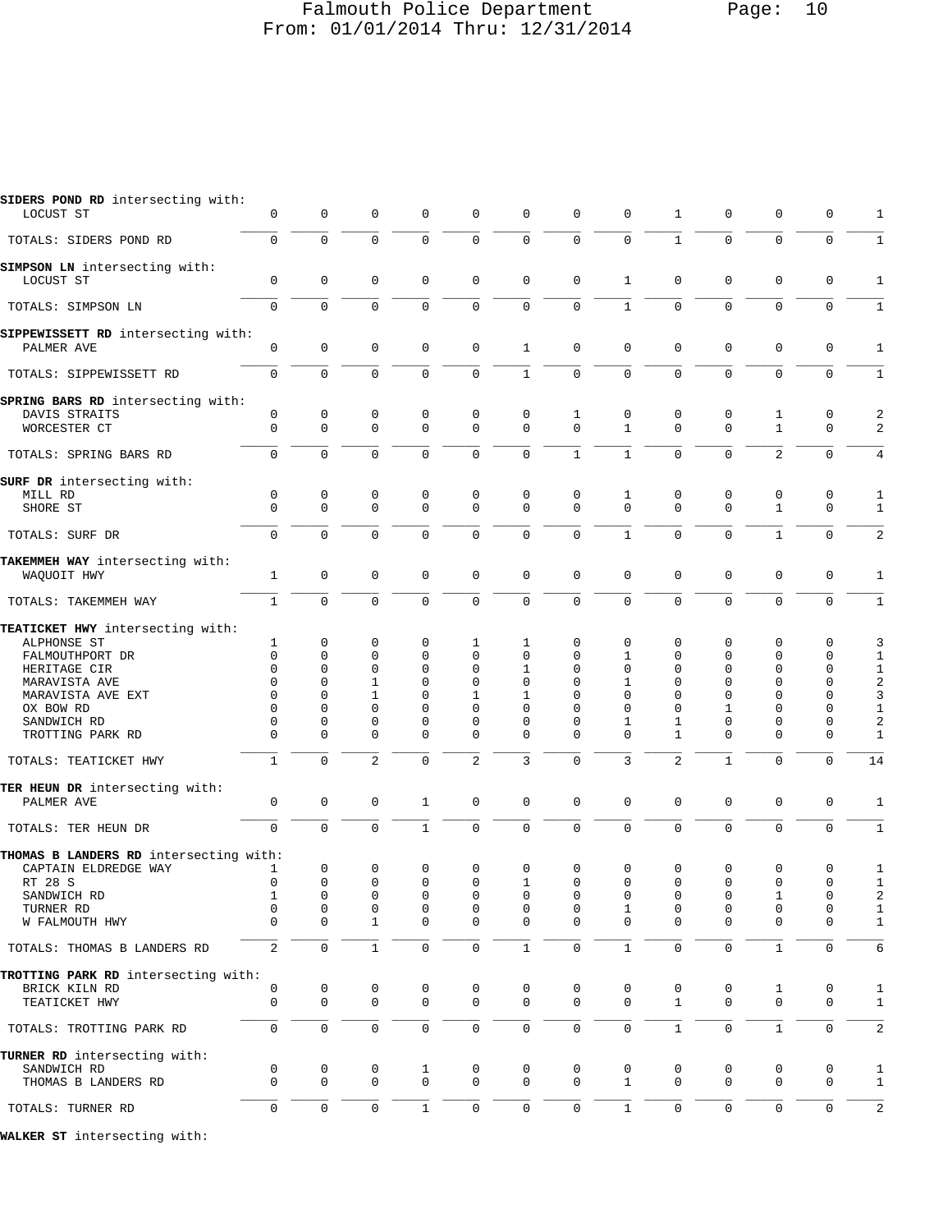#### Falmouth Police Department Page: 10 From: 01/01/2014 Thru: 12/31/2014

| SIDERS POND RD intersecting with:<br>LOCUST ST    | 0                | $\mathbf 0$         | $\mathbf 0$                 | $\mathsf 0$      | $\mathbf 0$                | 0                   | $\mathbf 0$         | 0                 | 1              | 0                   | $\mathsf 0$       | $\mathbf 0$      | 1                            |
|---------------------------------------------------|------------------|---------------------|-----------------------------|------------------|----------------------------|---------------------|---------------------|-------------------|----------------|---------------------|-------------------|------------------|------------------------------|
| TOTALS: SIDERS POND RD                            | $\mathsf{O}$     | $\mathsf 0$         | $\mathsf 0$                 | 0                | $\mathsf 0$                | $\mathsf{O}\xspace$ | $\mathbf 0$         | $\mathsf 0$       | $\mathbf 1$    | 0                   | $\mathsf 0$       | $\mathbf 0$      | $\mathbf{1}$                 |
| <b>SIMPSON LN</b> intersecting with:<br>LOCUST ST | 0                | $\mathbf 0$         | $\mathbf 0$                 | 0                | $\mathbf 0$                | 0                   | $\mathbf 0$         | $\mathbf{1}$      | 0              | 0                   | $\mathsf 0$       | $\mathbf 0$      | $\mathbf{1}$                 |
| TOTALS: SIMPSON LN                                | $\mathbf 0$      | $\mathbf 0$         | $\mathbf 0$                 | $\mathbf 0$      | $\mathbf 0$                | $\mathbf 0$         | $\mathbf{0}$        | $\mathbf{1}$      | 0              | $\mathbf 0$         | $\mathbf 0$       | $\mathbf 0$      | $\mathbf{1}$                 |
| SIPPEWISSETT RD intersecting with:<br>PALMER AVE  | 0                | $\mathbf 0$         | $\mathbf 0$                 | $\mathbf 0$      | $\mathsf 0$                | $\mathbf 1$         | $\mathbf 0$         | $\mathsf 0$       | 0              | 0                   | $\mathsf 0$       | $\mathbf 0$      | $\mathbf{1}$                 |
| TOTALS: SIPPEWISSETT RD                           | 0                | $\mathbf 0$         | $\mathbf 0$                 | $\mathbf 0$      | $\mathbf 0$                | $\mathbf{1}$        | $\overline{0}$      | $\mathbf 0$       | 0              | 0                   | $\mathbf 0$       | $\mathbf 0$      | $\mathbf{1}$                 |
| <b>SPRING BARS RD</b> intersecting with:          |                  |                     |                             |                  |                            |                     |                     |                   |                |                     |                   |                  |                              |
| DAVIS STRAITS<br>WORCESTER CT                     | 0<br>0           | 0<br>$\mathbf 0$    | 0<br>$\mathbf 0$            | 0<br>$\mathbf 0$ | 0<br>$\mathbf 0$           | 0<br>$\mathbf 0$    | 1<br>$\mathbf{0}$   | 0<br>$\mathbf{1}$ | 0<br>0         | 0<br>0              | 1<br>$\mathbf{1}$ | 0<br>$\mathbf 0$ | $\boldsymbol{2}$<br>2        |
| TOTALS: SPRING BARS RD                            | $\mathbf 0$      | $\Omega$            | $\mathbf{0}$                | $\Omega$         | $\mathbf 0$                | $\mathbf 0$         | $\mathbf{1}$        | $\mathbf{1}$      | 0              | $\Omega$            | $\overline{2}$    | $\mathbf 0$      | $\overline{4}$               |
| SURF DR intersecting with:                        |                  |                     |                             |                  |                            |                     |                     |                   |                |                     |                   |                  |                              |
| MILL RD<br>SHORE ST                               | 0<br>$\Omega$    | 0<br>$\mathbf 0$    | 0<br>$\mathbf 0$            | 0<br>$\Omega$    | 0<br>$\mathbf 0$           | 0<br>$\mathbf 0$    | 0<br>$\Omega$       | 1<br>$\Omega$     | 0<br>$\Omega$  | 0<br>$\Omega$       | 0<br>$\mathbf{1}$ | 0<br>$\Omega$    | $\mathbf{1}$<br>1            |
| TOTALS: SURF DR                                   | 0                | $\mathbf 0$         | $\mathbf 0$                 | $\mathbf 0$      | $\mathsf 0$                | $\mathsf 0$         | $\mathbf 0$         | $\mathbf{1}$      | 0              | 0                   | $\mathbf{1}$      | $\mathbf 0$      | $\overline{2}$               |
| TAKEMMEH WAY intersecting with:                   |                  |                     |                             |                  |                            |                     |                     |                   |                |                     |                   |                  |                              |
| WAQUOIT HWY                                       | 1                | $\mathbf 0$         | $\mathbf 0$                 | $\mathbf 0$      | $\mathbf 0$                | 0                   | $\mathbf 0$         | $\mathbf{0}$      | 0              | 0                   | $\mathsf 0$       | $\mathbf 0$      | $\mathbf{1}$                 |
| TOTALS: TAKEMMEH WAY                              | $\mathbf{1}$     | $\Omega$            | $\mathbf 0$                 | $\mathbf 0$      | $\mathbf 0$                | $\mathsf 0$         | $\mathbf{0}$        | $\Omega$          | 0              | $\overline{0}$      | $\mathbf 0$       | $\mathbf 0$      | $\,1\,$                      |
| TEATICKET HWY intersecting with:                  |                  |                     |                             |                  |                            |                     |                     |                   |                |                     |                   |                  |                              |
| ALPHONSE ST                                       | 1                | 0                   | 0                           | 0                | 1                          | 1                   | 0                   | 0                 | 0              | 0                   | 0                 | 0                | 3                            |
| FALMOUTHPORT DR<br>HERITAGE CIR                   | 0<br>0           | 0<br>0              | $\mathbf 0$<br>$\mathbf 0$  | $\mathbf 0$<br>0 | $\mathbf 0$<br>$\mathbf 0$ | 0<br>1              | 0<br>0              | 1<br>0            | 0<br>0         | 0<br>0              | 0<br>0            | 0<br>0           | $\mathbf{1}$<br>$\mathbf 1$  |
| MARAVISTA AVE                                     | 0                | 0                   | 1                           | 0                | $\mathbf 0$                | 0                   | 0                   | 1                 | 0              | 0                   | 0                 | 0                | 2                            |
| MARAVISTA AVE EXT                                 | $\Omega$         | 0                   | 1                           | 0                | 1                          | 1                   | 0                   | 0                 | 0              | 0                   | 0                 | 0                | 3                            |
| OX BOW RD                                         | 0                | 0                   | 0                           | $\Omega$         | $\mathbf 0$                | 0                   | 0                   | 0                 | 0              | 1                   | 0                 | 0                | $\mathbf{1}$                 |
| SANDWICH RD                                       | 0                | 0                   | 0                           | 0                | $\mathbf 0$                | 0                   | 0                   | 1                 | 1              | 0                   | 0                 | 0                | $\overline{a}$               |
| TROTTING PARK RD                                  | $\Omega$         | $\Omega$            | $\Omega$                    | $\Omega$         | $\mathbf 0$                | 0                   | $\mathbf 0$         | $\Omega$          | 1              | $\Omega$            | 0                 | 0                | $\mathbf{1}$                 |
| TOTALS: TEATICKET HWY                             | $\mathbf{1}$     | $\mathbf 0$         | 2                           | $\mathbf 0$      | 2                          | 3                   | $\mathbf 0$         | 3                 | $\overline{c}$ | $\mathbf{1}$        | $\mathbf 0$       | $\mathbf 0$      | 14                           |
| TER HEUN DR intersecting with:<br>PALMER AVE      | 0                | $\mathbf 0$         | 0                           | 1                | 0                          | $\mathsf 0$         | $\mathbf 0$         | $\mathbf 0$       | 0              | 0                   | $\mathsf 0$       | $\mathbf 0$      | 1                            |
| TOTALS: TER HEUN DR                               | 0                | $\mathbf 0$         | $\mathbf 0$                 | $\mathbf{1}$     | $\mathsf{O}\xspace$        | $\mathsf{O}\xspace$ | $\mathbf 0$         | $\overline{0}$    | $\mathbf 0$    | $\overline{0}$      | 0                 | $\mathbf 0$      | $\mathbf{1}$                 |
| THOMAS B LANDERS RD intersecting with:            |                  |                     |                             |                  |                            |                     |                     |                   |                |                     |                   |                  |                              |
| CAPTAIN ELDREDGE WAY                              | 1                | $\mathbf 0$         | $\mathbf 0$                 | $\mathbf 0$      | $\mathbf 0$                | 0                   | $\mathsf 0$         | 0                 | 0              | 0                   | $\mathsf 0$       | $\mathbf 0$      | 1                            |
| RT 28 S                                           | 0                | 0                   | 0                           | 0                | 0                          |                     | 0                   | 0                 | 0              | 0                   | 0                 | 0                | $\mathbf{1}$                 |
| SANDWICH RD                                       | 1<br>$\mathbf 0$ | 0                   | 0                           | 0<br>$\mathbf 0$ | 0                          | 0<br>0              | 0<br>0              | 0                 | 0<br>0         | 0<br>$\mathbf 0$    | 1                 | 0                | $\sqrt{2}$                   |
| TURNER RD<br>W FALMOUTH HWY                       | $\Omega$         | 0<br>$\mathbf{0}$   | $\mathsf 0$<br>$\mathbf{1}$ | 0                | $\mathsf 0$<br>0           | 0                   | $\mathbf 0$         | 1<br>$\Omega$     | $\Omega$       | 0                   | $\mathsf 0$<br>0  | 0<br>$\mathbf 0$ | $\mathbf{1}$<br>$\mathbf{1}$ |
| TOTALS: THOMAS B LANDERS RD                       | 2                | $\mathsf{O}\xspace$ | $\mathbf{1}$                | $\mathbf 0$      | $\mathbf 0$                | $\mathbf{1}$        | $\mathbf 0$         | $\mathbf{1}$      | 0              | 0                   | $\mathbf{1}$      | $\mathbf 0$      | 6                            |
| TROTTING PARK RD intersecting with:               |                  |                     |                             |                  |                            |                     |                     |                   |                |                     |                   |                  |                              |
| BRICK KILN RD                                     | 0                | 0                   | 0                           | 0                | 0                          | 0                   | 0                   | 0                 | 0              | 0                   | 1                 | 0                | 1                            |
| TEATICKET HWY                                     | $\mathbf 0$      | $\mathbf 0$         | $\mathbf 0$                 | $\mathbf 0$      | 0                          | $\mathbf 0$         | $\mathbf 0$         | $\Omega$          | $\mathbf{1}$   | $\mathbf 0$         | $\mathbf 0$       | $\mathbf{0}$     | $\mathbf{1}$                 |
| TOTALS: TROTTING PARK RD                          | 0                | $\mathsf{O}\xspace$ | $\mathsf 0$                 | $\mathbf 0$      | $\mathsf{O}$               | 0                   | $\mathbf 0$         | 0                 | $\mathbf{1}$   | $\mathbf 0$         | $\mathbf{1}$      | $\mathbf 0$      | $\overline{\mathbf{c}}$      |
| TURNER RD intersecting with:<br>SANDWICH RD       | 0                | 0                   | 0                           |                  | 0                          | 0                   | 0                   | 0                 | 0              | 0                   | 0                 | 0                |                              |
| THOMAS B LANDERS RD                               | 0                | 0                   | $\mathsf{O}\xspace$         | 1<br>0           | $\mathsf{0}$               | 0                   | $\mathbf 0$         | $\mathbf{1}$      | 0              | 0                   | 0                 | $\mathbf 0$      | $\mathbf{1}$<br>$\mathbf{1}$ |
| TOTALS: TURNER RD                                 | $\mathsf{O}$     | $\mathbf 0$         | $\mathsf 0$                 | $\mathbf{1}$     | 0                          | 0                   | $\mathsf{O}\xspace$ | $1\,$             | 0              | $\mathsf{O}\xspace$ | $\mathsf 0$       | $\mathbf 0$      | $\sqrt{2}$                   |
| WALKER ST intersecting with:                      |                  |                     |                             |                  |                            |                     |                     |                   |                |                     |                   |                  |                              |
|                                                   |                  |                     |                             |                  |                            |                     |                     |                   |                |                     |                   |                  |                              |